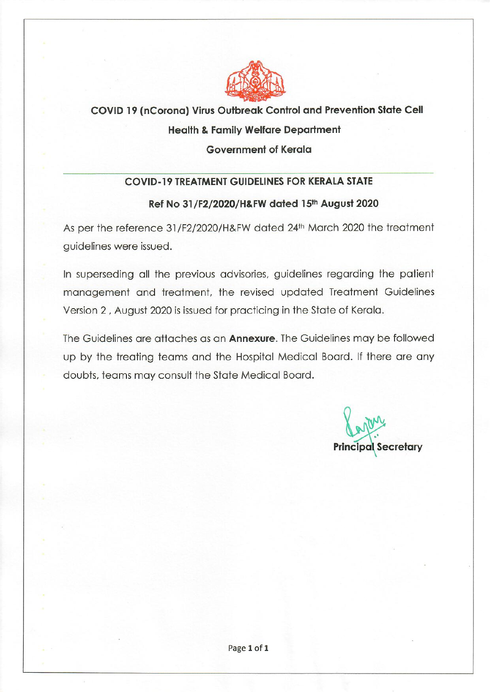

# COVID 19 (nCorona) Virus Outbreak Control and Prevention State Cell **Health & Family Welfare Department Government of Kerala**

### **COVID-19 TREATMENT GUIDELINES FOR KERALA STATE**

### Ref No 31/F2/2020/H&FW dated 15th August 2020

As per the reference 31/F2/2020/H&FW dated 24th March 2020 the treatment guidelines were issued.

In superseding all the previous advisories, guidelines regarding the patient management and treatment, the revised updated Treatment Guidelines Version 2, August 2020 is issued for practicing in the State of Kerala.

The Guidelines are attaches as an **Annexure**. The Guidelines may be followed up by the treating teams and the Hospital Medical Board. If there are any doubts, teams may consult the State Medical Board.

**Principal Secretary**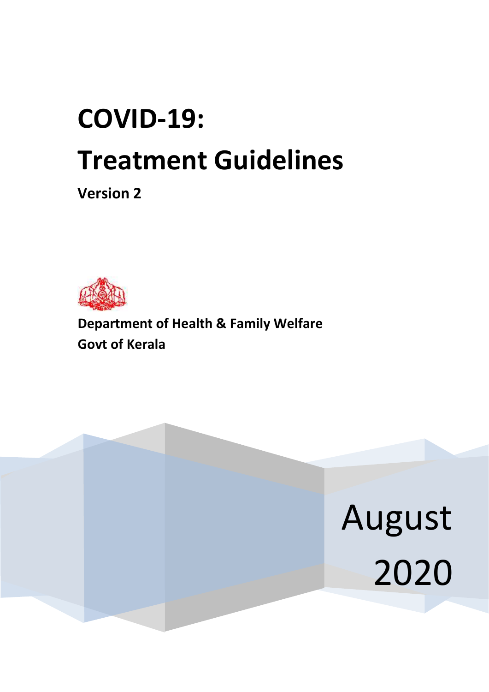# **COVID-19: Treatment Guidelines**

**Version 2**



**Department of Health & Family Welfare Govt of Kerala** 

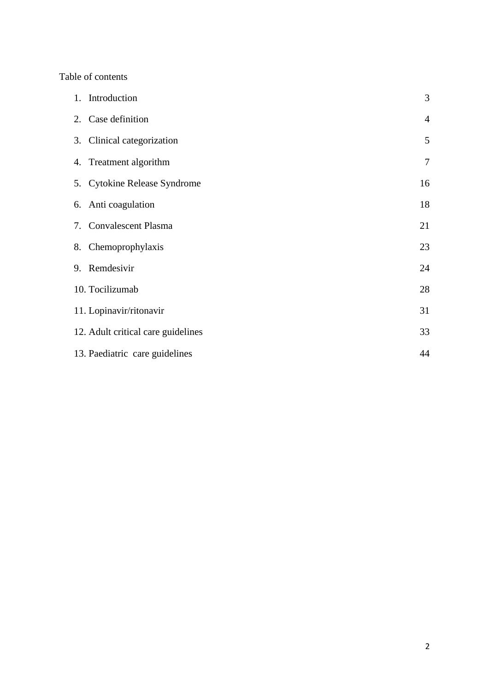#### Table of contents

| 1. Introduction                    | 3              |
|------------------------------------|----------------|
| 2. Case definition                 | $\overline{4}$ |
| 3. Clinical categorization         | 5              |
| 4. Treatment algorithm             | $\overline{7}$ |
| 5. Cytokine Release Syndrome       | 16             |
| 6. Anti coagulation                | 18             |
| 7. Convalescent Plasma             | 21             |
| 8. Chemoprophylaxis                | 23             |
| 9. Remdesivir                      | 24             |
| 10. Tocilizumab                    | 28             |
| 11. Lopinavir/ritonavir            | 31             |
| 12. Adult critical care guidelines | 33             |
| 13. Paediatric care guidelines     | 44             |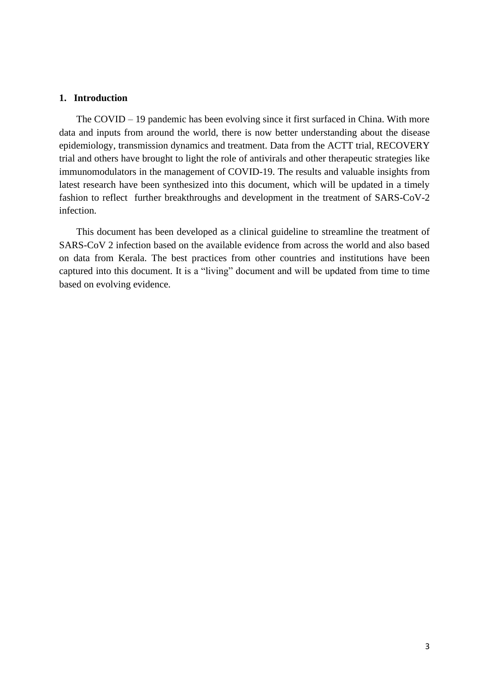#### **1. Introduction**

 The COVID – 19 pandemic has been evolving since it first surfaced in China. With more data and inputs from around the world, there is now better understanding about the disease epidemiology, transmission dynamics and treatment. Data from the ACTT trial, RECOVERY trial and others have brought to light the role of antivirals and other therapeutic strategies like immunomodulators in the management of COVID-19. The results and valuable insights from latest research have been synthesized into this document, which will be updated in a timely fashion to reflect further breakthroughs and development in the treatment of SARS-CoV-2 infection.

 This document has been developed as a clinical guideline to streamline the treatment of SARS-CoV 2 infection based on the available evidence from across the world and also based on data from Kerala. The best practices from other countries and institutions have been captured into this document. It is a "living" document and will be updated from time to time based on evolving evidence.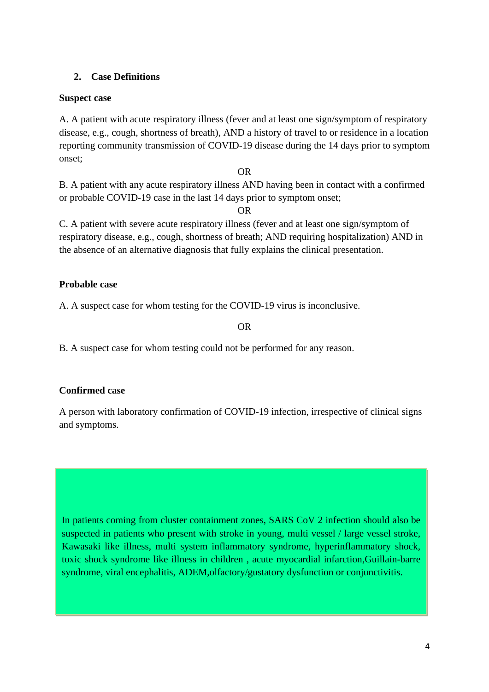### **2. Case Definitions**

### **Suspect case**

A. A patient with acute respiratory illness (fever and at least one sign/symptom of respiratory disease, e.g., cough, shortness of breath), AND a history of travel to or residence in a location reporting community transmission of COVID-19 disease during the 14 days prior to symptom onset;

#### OR

B. A patient with any acute respiratory illness AND having been in contact with a confirmed or probable COVID-19 case in the last 14 days prior to symptom onset;

OR

C. A patient with severe acute respiratory illness (fever and at least one sign/symptom of respiratory disease, e.g., cough, shortness of breath; AND requiring hospitalization) AND in the absence of an alternative diagnosis that fully explains the clinical presentation.

### **Probable case**

A. A suspect case for whom testing for the COVID-19 virus is inconclusive.

OR

B. A suspect case for whom testing could not be performed for any reason.

### **Confirmed case**

A person with laboratory confirmation of COVID-19 infection, irrespective of clinical signs and symptoms.

In patients coming from cluster containment zones, SARS CoV 2 infection should also be suspected in patients who present with stroke in young, multi vessel / large vessel stroke, Kawasaki like illness, multi system inflammatory syndrome, hyperinflammatory shock, toxic shock syndrome like illness in children , acute myocardial infarction,Guillain-barre syndrome, viral encephalitis, ADEM,olfactory/gustatory dysfunction or conjunctivitis.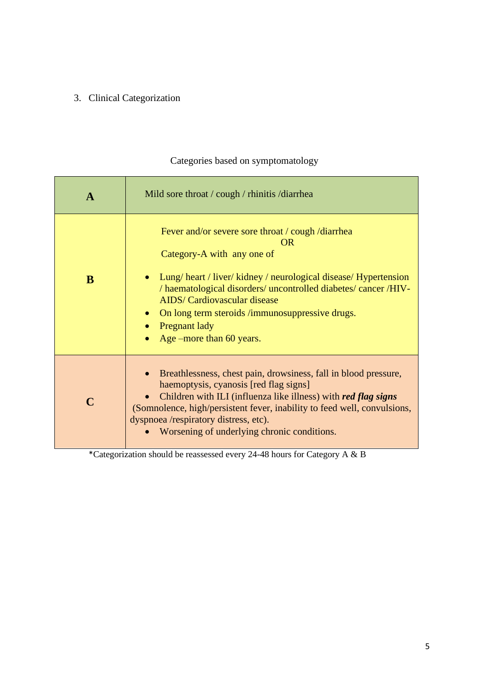# 3. Clinical Categorization

| $\mathbf A$ | Mild sore throat / cough / rhinitis / diarrhea                                                                                                                                                                                                                                                                                                                                 |  |
|-------------|--------------------------------------------------------------------------------------------------------------------------------------------------------------------------------------------------------------------------------------------------------------------------------------------------------------------------------------------------------------------------------|--|
| B           | Fever and/or severe sore throat / cough /diarrhea<br><b>OR</b><br>Category-A with any one of<br>Lung/heart / liver/kidney / neurological disease/Hypertension<br>/ haematological disorders/ uncontrolled diabetes/ cancer /HIV-<br><b>AIDS/</b> Cardiovascular disease<br>On long term steroids /immunosuppressive drugs.<br><b>Pregnant lady</b><br>Age –more than 60 years. |  |
|             | Breathlessness, chest pain, drowsiness, fall in blood pressure,<br>haemoptysis, cyanosis [red flag signs]<br>Children with ILI (influenza like illness) with red flag signs<br>(Somnolence, high/persistent fever, inability to feed well, convulsions,<br>dyspnoea /respiratory distress, etc).<br>Worsening of underlying chronic conditions.                                |  |

# Categories based on symptomatology

\*Categorization should be reassessed every 24-48 hours for Category A & B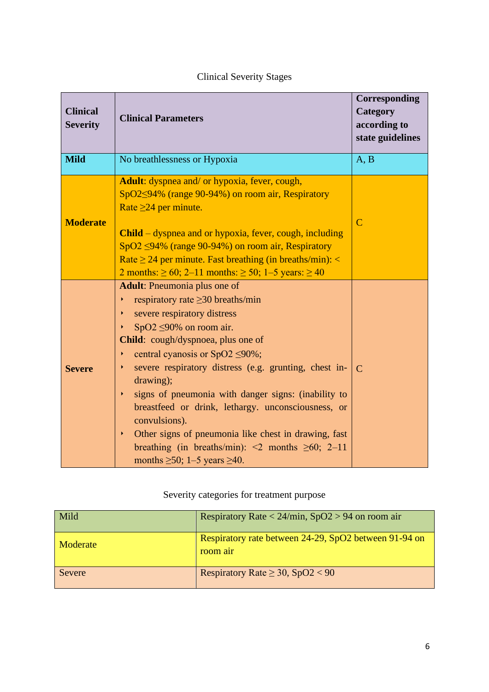| <b>Clinical</b><br><b>Severity</b> | <b>Clinical Parameters</b>                                                                                                                                                                                                                                                                                                                                                                                                                                                                                                                                                                                               | Corresponding<br>Category<br>according to<br>state guidelines |
|------------------------------------|--------------------------------------------------------------------------------------------------------------------------------------------------------------------------------------------------------------------------------------------------------------------------------------------------------------------------------------------------------------------------------------------------------------------------------------------------------------------------------------------------------------------------------------------------------------------------------------------------------------------------|---------------------------------------------------------------|
| <b>Mild</b>                        | No breathlessness or Hypoxia                                                                                                                                                                                                                                                                                                                                                                                                                                                                                                                                                                                             | A, B                                                          |
| <b>Moderate</b>                    | Adult: dyspnea and/ or hypoxia, fever, cough,<br>SpO2<94% (range 90-94%) on room air, Respiratory<br>Rate $\geq 24$ per minute.<br><b>Child</b> – dyspnea and or hypoxia, fever, cough, including<br>SpO2 <94% (range 90-94%) on room air, Respiratory<br>Rate $\geq$ 24 per minute. Fast breathing (in breaths/min): <<br>2 months: $\geq 60$ ; 2–11 months: $\geq 50$ ; 1–5 years: $\geq 40$                                                                                                                                                                                                                           | $\overline{C}$                                                |
| <b>Severe</b>                      | <b>Adult:</b> Pneumonia plus one of<br>respiratory rate $\geq$ 30 breaths/min<br>severe respiratory distress<br>K<br>SpO2 $\leq$ 90% on room air.<br>Child: cough/dyspnoea, plus one of<br>central cyanosis or SpO2 $\leq$ 90%;<br>K<br>severe respiratory distress (e.g. grunting, chest in-<br>Þ<br>drawing);<br>signs of pneumonia with danger signs: (inability to<br>k<br>breastfeed or drink, lethargy. unconsciousness, or<br>convulsions).<br>Other signs of pneumonia like chest in drawing, fast<br>K<br>breathing (in breaths/min): $\leq$ months $\geq$ 60; 2–11<br>months $\geq 50$ ; 1-5 years $\geq 40$ . | $\mathcal{C}$                                                 |

# Clinical Severity Stages

# Severity categories for treatment purpose

| Mild     | Respiratory Rate < $24/\text{min}$ , SpO2 > 94 on room air        |
|----------|-------------------------------------------------------------------|
| Moderate | Respiratory rate between 24-29, SpO2 between 91-94 on<br>room air |
| Severe   | Respiratory Rate $\geq 30$ , SpO2 < 90                            |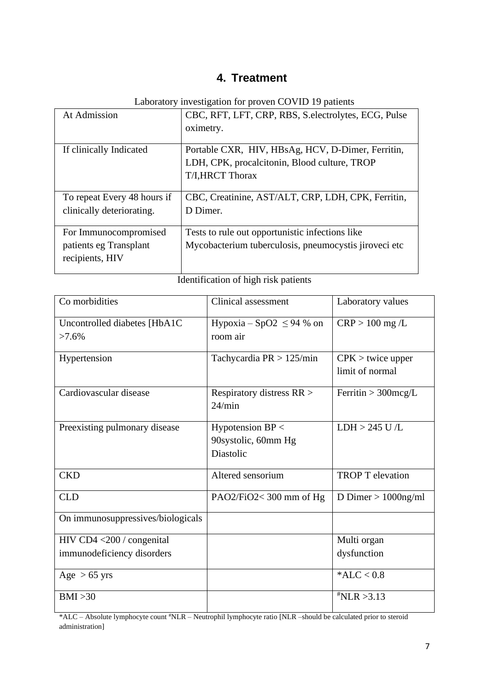# **4. Treatment**

Laboratory investigation for proven COVID 19 patients

| At Admission                | CBC, RFT, LFT, CRP, RBS, S. electrolytes, ECG, Pulse  |
|-----------------------------|-------------------------------------------------------|
|                             | oximetry.                                             |
|                             |                                                       |
| If clinically Indicated     | Portable CXR, HIV, HBsAg, HCV, D-Dimer, Ferritin,     |
|                             | LDH, CPK, procalcitonin, Blood culture, TROP          |
|                             | T/I, HRCT Thorax                                      |
|                             |                                                       |
| To repeat Every 48 hours if | CBC, Creatinine, AST/ALT, CRP, LDH, CPK, Ferritin,    |
| clinically deteriorating.   | D Dimer.                                              |
|                             |                                                       |
| For Immunocompromised       | Tests to rule out opportunistic infections like       |
| patients eg Transplant      | Mycobacterium tuberculosis, pneumocystis jiroveci etc |
| recipients, HIV             |                                                       |
|                             |                                                       |

| Co morbidities                                          | Clinical assessment                                  | Laboratory values                      |
|---------------------------------------------------------|------------------------------------------------------|----------------------------------------|
| Uncontrolled diabetes [HbA1C]<br>$>7.6\%$               | Hypoxia – SpO2 $\leq$ 94 % on<br>room air            | $CRP > 100$ mg /L                      |
| Hypertension                                            | Tachycardia $PR > 125/min$                           | $CPK >$ twice upper<br>limit of normal |
| Cardiovascular disease                                  | Respiratory distress RR ><br>24/min                  | Ferritin $> 300$ mcg/L                 |
| Preexisting pulmonary disease                           | Hypotension BP <<br>90systolic, 60mm Hg<br>Diastolic | LDH > 245 U/L                          |
| <b>CKD</b>                                              | Altered sensorium                                    | <b>TROP T</b> elevation                |
| <b>CLD</b>                                              | PAO2/FiO2<300 mm of Hg                               | D Dimer $> 1000$ ng/ml                 |
| On immunosuppressives/biologicals                       |                                                      |                                        |
| HIV CD4 <200 / congenital<br>immunodeficiency disorders |                                                      | Multi organ<br>dysfunction             |
| Age $> 65$ yrs                                          |                                                      | * $ALC < 0.8$                          |
| BMI > 30                                                |                                                      | $*NLR > 3.13$                          |

\*ALC – Absolute lymphocyte count #NLR – Neutrophil lymphocyte ratio [NLR –should be calculated prior to steroid administration]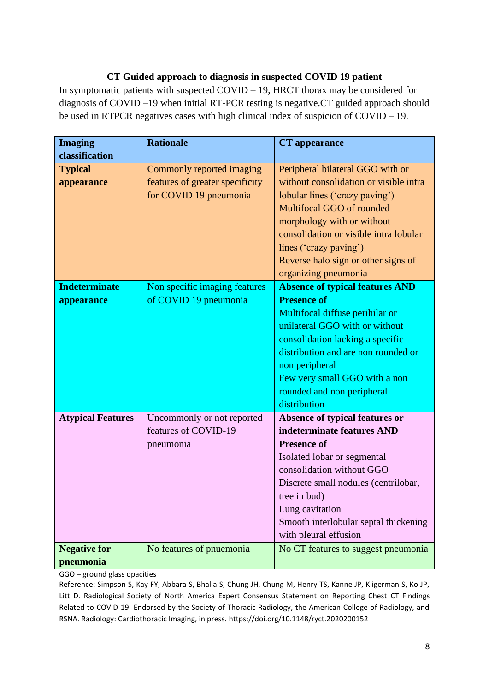### **CT Guided approach to diagnosis in suspected COVID 19 patient**

In symptomatic patients with suspected COVID – 19, HRCT thorax may be considered for diagnosis of COVID –19 when initial RT-PCR testing is negative.CT guided approach should be used in RTPCR negatives cases with high clinical index of suspicion of COVID – 19.

| <b>Imaging</b>           | <b>Rationale</b>                | <b>CT</b> appearance                   |
|--------------------------|---------------------------------|----------------------------------------|
| classification           |                                 |                                        |
| <b>Typical</b>           | Commonly reported imaging       | Peripheral bilateral GGO with or       |
| appearance               | features of greater specificity | without consolidation or visible intra |
|                          | for COVID 19 pneumonia          | lobular lines ('crazy paving')         |
|                          |                                 | Multifocal GGO of rounded              |
|                          |                                 | morphology with or without             |
|                          |                                 | consolidation or visible intra lobular |
|                          |                                 | lines ('crazy paving')                 |
|                          |                                 | Reverse halo sign or other signs of    |
|                          |                                 | organizing pneumonia                   |
| <b>Indeterminate</b>     | Non specific imaging features   | <b>Absence of typical features AND</b> |
| appearance               | of COVID 19 pneumonia           | <b>Presence of</b>                     |
|                          |                                 | Multifocal diffuse perihilar or        |
|                          |                                 | unilateral GGO with or without         |
|                          |                                 | consolidation lacking a specific       |
|                          |                                 | distribution and are non rounded or    |
|                          |                                 | non peripheral                         |
|                          |                                 | Few very small GGO with a non          |
|                          |                                 | rounded and non peripheral             |
|                          |                                 | distribution                           |
| <b>Atypical Features</b> | Uncommonly or not reported      | Absence of typical features or         |
|                          | features of COVID-19            | indeterminate features AND             |
|                          | pneumonia                       | <b>Presence of</b>                     |
|                          |                                 | Isolated lobar or segmental            |
|                          |                                 | consolidation without GGO              |
|                          |                                 | Discrete small nodules (centrilobar,   |
|                          |                                 | tree in bud)                           |
|                          |                                 | Lung cavitation                        |
|                          |                                 | Smooth interlobular septal thickening  |
|                          |                                 | with pleural effusion                  |
| <b>Negative for</b>      | No features of pnuemonia        | No CT features to suggest pneumonia    |
| pneumonia                |                                 |                                        |

GGO – ground glass opacities

Reference: Simpson S, Kay FY, Abbara S, Bhalla S, Chung JH, Chung M, Henry TS, Kanne JP, Kligerman S, Ko JP, Litt D. Radiological Society of North America Expert Consensus Statement on Reporting Chest CT Findings Related to COVID-19. Endorsed by the Society of Thoracic Radiology, the American College of Radiology, and RSNA. Radiology: Cardiothoracic Imaging, in press. <https://doi.org/10.1148/ryct.2020200152>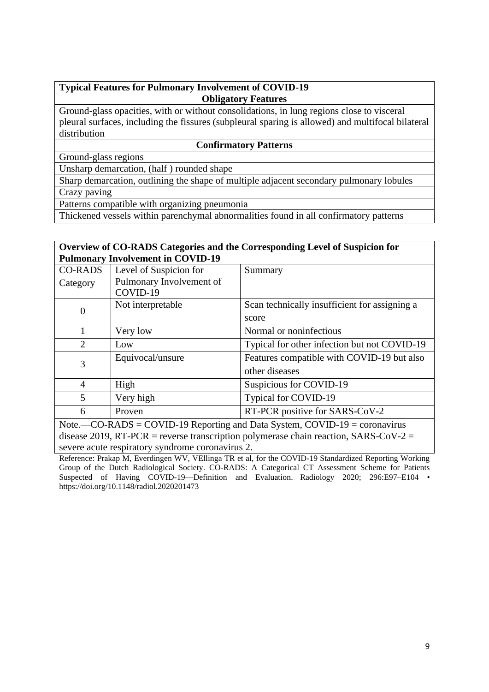### **Typical Features for Pulmonary Involvement of COVID-19 Obligatory Features**

Ground-glass opacities, with or without consolidations, in lung regions close to visceral pleural surfaces, including the fissures (subpleural sparing is allowed) and multifocal bilateral distribution

#### **Confirmatory Patterns**

Ground-glass regions

Unsharp demarcation, (half ) rounded shape

Sharp demarcation, outlining the shape of multiple adjacent secondary pulmonary lobules Crazy paving

Patterns compatible with organizing pneumonia

Thickened vessels within parenchymal abnormalities found in all confirmatory patterns

#### **Overview of CO-RADS Categories and the Corresponding Level of Suspicion for Pulmonary Involvement in COVID-19**

| <b>CO-RADS</b>                                                                                                                                                                                   | Level of Suspicion for   | Summary                                       |
|--------------------------------------------------------------------------------------------------------------------------------------------------------------------------------------------------|--------------------------|-----------------------------------------------|
| Category                                                                                                                                                                                         | Pulmonary Involvement of |                                               |
|                                                                                                                                                                                                  | COVID-19                 |                                               |
|                                                                                                                                                                                                  | Not interpretable        | Scan technically insufficient for assigning a |
| 0                                                                                                                                                                                                |                          | score                                         |
|                                                                                                                                                                                                  | Very low                 | Normal or noninfectious                       |
| 2                                                                                                                                                                                                | Low                      | Typical for other infection but not COVID-19  |
| 3                                                                                                                                                                                                | Equivocal/unsure         | Features compatible with COVID-19 but also    |
|                                                                                                                                                                                                  |                          | other diseases                                |
| 4                                                                                                                                                                                                | High                     | Suspicious for COVID-19                       |
| 5                                                                                                                                                                                                | Very high                | Typical for COVID-19                          |
| 6                                                                                                                                                                                                | Proven                   | RT-PCR positive for SARS-CoV-2                |
| $C_{\Omega}$ $D \wedge DS = C_{\Omega}$ $D \wedge D$ $D$ $D \wedge D$ $D \wedge D$ $D \wedge D$ $D \wedge D$ $D \wedge D$ $D \wedge D$ $D \wedge D$ $D \wedge D$ $D \wedge D$<br>$N_{\alpha}$ to |                          |                                               |

Note.—CO-RADS = COVID-19 Reporting and Data System, COVID-19 = coronavirus disease 2019, RT-PCR = reverse transcription polymerase chain reaction, SARS-CoV-2 = severe acute respiratory syndrome coronavirus 2.

Reference: Prakap M, Everdingen WV, VEllinga TR et al, for the COVID-19 Standardized Reporting Working Group of the Dutch Radiological Society. CO-RADS: A Categorical CT Assessment Scheme for Patients Suspected of Having COVID-19—Definition and Evaluation. Radiology 2020; 296:E97–E104 • https://doi.org/10.1148/radiol.2020201473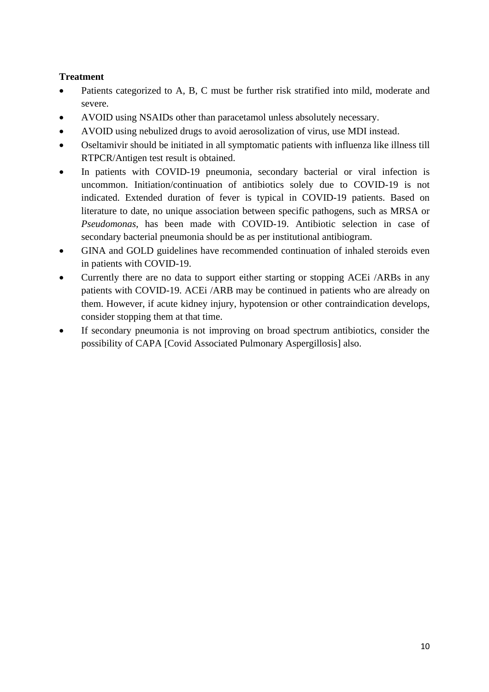### **Treatment**

- Patients categorized to A, B, C must be further risk stratified into mild, moderate and severe.
- AVOID using NSAIDs other than paracetamol unless absolutely necessary.
- AVOID using nebulized drugs to avoid aerosolization of virus, use MDI instead.
- Oseltamivir should be initiated in all symptomatic patients with influenza like illness till RTPCR/Antigen test result is obtained.
- In patients with COVID-19 pneumonia, secondary bacterial or viral infection is uncommon. Initiation/continuation of antibiotics solely due to COVID-19 is not indicated. Extended duration of fever is typical in COVID-19 patients. Based on literature to date, no unique association between specific pathogens, such as MRSA or *Pseudomonas*, has been made with COVID-19. Antibiotic selection in case of secondary bacterial pneumonia should be as per institutional antibiogram.
- GINA and GOLD guidelines have recommended continuation of inhaled steroids even in patients with COVID-19.
- Currently there are no data to support either starting or stopping ACEi /ARBs in any patients with COVID-19. ACEi /ARB may be continued in patients who are already on them. However, if acute kidney injury, hypotension or other contraindication develops, consider stopping them at that time.
- If secondary pneumonia is not improving on broad spectrum antibiotics, consider the possibility of CAPA [Covid Associated Pulmonary Aspergillosis] also.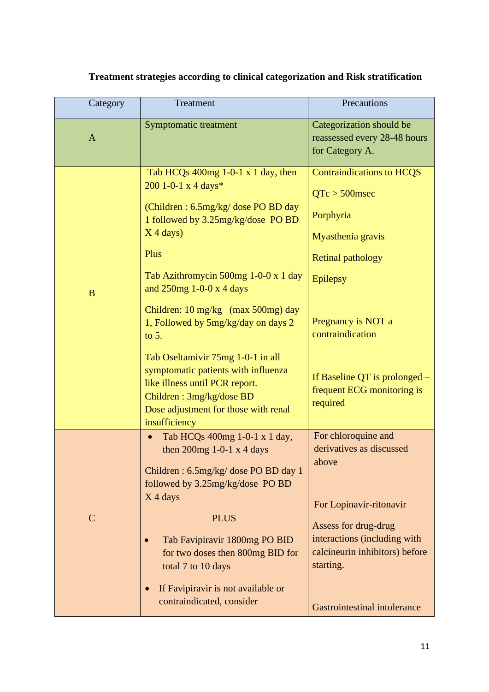| Category     | Treatment                                                                                                                                                                                                                                                                                                                                                                                                                                                                                                                         | Precautions                                                                                                                                                                                                                                                |
|--------------|-----------------------------------------------------------------------------------------------------------------------------------------------------------------------------------------------------------------------------------------------------------------------------------------------------------------------------------------------------------------------------------------------------------------------------------------------------------------------------------------------------------------------------------|------------------------------------------------------------------------------------------------------------------------------------------------------------------------------------------------------------------------------------------------------------|
| $\mathbf{A}$ | <b>Symptomatic treatment</b>                                                                                                                                                                                                                                                                                                                                                                                                                                                                                                      | Categorization should be<br>reassessed every 28-48 hours<br>for Category A.                                                                                                                                                                                |
| $\mathbf{B}$ | Tab HCQs $400mg$ 1-0-1 x 1 day, then<br>200 1-0-1 x 4 days*<br>(Children: 6.5mg/kg/ dose PO BD day<br>1 followed by 3.25mg/kg/dose PO BD<br>$X$ 4 days)<br>Plus<br>Tab Azithromycin 500mg 1-0-0 x 1 day<br>and $250$ mg 1-0-0 x 4 days<br>Children: 10 mg/kg (max 500mg) day<br>1, Followed by 5mg/kg/day on days 2<br>to $5.$<br>Tab Oseltamivir 75mg 1-0-1 in all<br>symptomatic patients with influenza<br>like illness until PCR report.<br>Children: 3mg/kg/dose BD<br>Dose adjustment for those with renal<br>insufficiency | <b>Contraindications to HCQS</b><br>$QTc > 500$ msec<br>Porphyria<br>Myasthenia gravis<br><b>Retinal pathology</b><br><b>Epilepsy</b><br>Pregnancy is NOT a<br>contraindication<br>If Baseline QT is prolonged –<br>frequent ECG monitoring is<br>required |
| $\mathbf C$  | Tab HCQs 400mg 1-0-1 x 1 day,<br>then $200mg$ 1-0-1 x 4 days<br>Children: 6.5mg/kg/ dose PO BD day 1<br>followed by 3.25mg/kg/dose PO BD<br>$X$ 4 days<br><b>PLUS</b><br>Tab Favipiravir 1800mg PO BID<br>for two doses then 800mg BID for<br>total 7 to 10 days<br>If Favipiravir is not available or<br>contraindicated, consider                                                                                                                                                                                               | For chloroquine and<br>derivatives as discussed<br>above<br>For Lopinavir-ritonavir<br>Assess for drug-drug<br>interactions (including with<br>calcineurin inhibitors) before<br>starting.<br><b>Gastrointestinal intolerance</b>                          |

# **Treatment strategies according to clinical categorization and Risk stratification**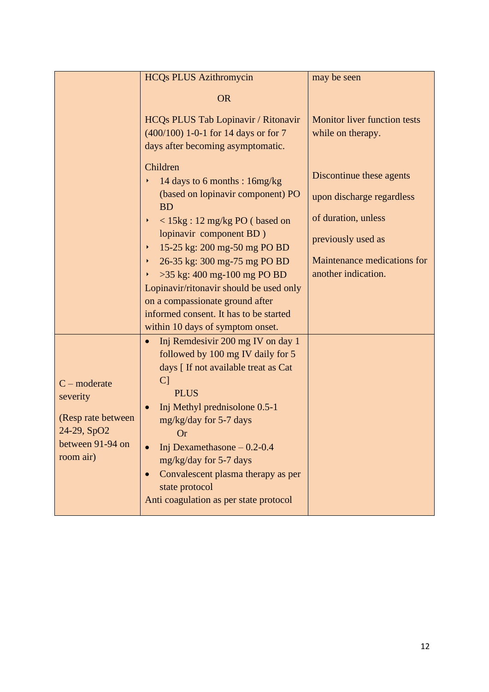|                                                                                                  | <b>HCQs PLUS Azithromycin</b>                                                                                                                                                                                                                                                                                                                                                                                                                                                                                                                                                                                                                                                                                                                                                                                                                    | may be seen                                                                                                                                              |
|--------------------------------------------------------------------------------------------------|--------------------------------------------------------------------------------------------------------------------------------------------------------------------------------------------------------------------------------------------------------------------------------------------------------------------------------------------------------------------------------------------------------------------------------------------------------------------------------------------------------------------------------------------------------------------------------------------------------------------------------------------------------------------------------------------------------------------------------------------------------------------------------------------------------------------------------------------------|----------------------------------------------------------------------------------------------------------------------------------------------------------|
|                                                                                                  | <b>OR</b>                                                                                                                                                                                                                                                                                                                                                                                                                                                                                                                                                                                                                                                                                                                                                                                                                                        |                                                                                                                                                          |
|                                                                                                  | HCQs PLUS Tab Lopinavir / Ritonavir<br>(400/100) 1-0-1 for 14 days or for 7<br>days after becoming asymptomatic.                                                                                                                                                                                                                                                                                                                                                                                                                                                                                                                                                                                                                                                                                                                                 | <b>Monitor liver function tests</b><br>while on therapy.                                                                                                 |
| $C$ – moderate<br>severity<br>(Resp rate between<br>24-29, SpO2<br>between 91-94 on<br>room air) | Children<br>14 days to 6 months : 16mg/kg<br>(based on lopinavir component) PO<br><b>BD</b><br>$<$ 15kg : 12 mg/kg PO (based on<br>Þ.<br>lopinavir component BD)<br>15-25 kg: 200 mg-50 mg PO BD<br>Þ.<br>26-35 kg: 300 mg-75 mg PO BD<br>Þ.<br>>35 kg: 400 mg-100 mg PO BD<br>▶<br>Lopinavir/ritonavir should be used only<br>on a compassionate ground after<br>informed consent. It has to be started<br>within 10 days of symptom onset.<br>Inj Remdesivir 200 mg IV on day 1<br>$\bullet$<br>followed by 100 mg IV daily for 5<br>days [ If not available treat as Cat<br>C <sub>1</sub><br><b>PLUS</b><br>Inj Methyl prednisolone 0.5-1<br>mg/kg/day for 5-7 days<br><b>Or</b><br>Inj Dexamethasone $-0.2-0.4$<br>mg/kg/day for 5-7 days<br>Convalescent plasma therapy as per<br>state protocol<br>Anti coagulation as per state protocol | Discontinue these agents<br>upon discharge regardless<br>of duration, unless<br>previously used as<br>Maintenance medications for<br>another indication. |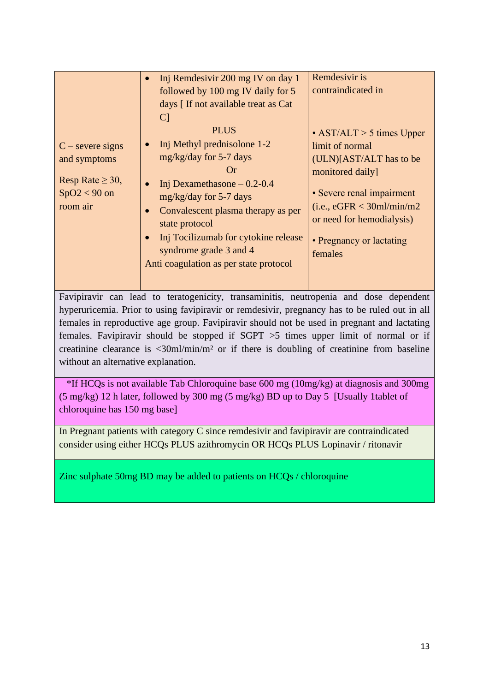|                                                                                           | Inj Remdesivir 200 mg IV on day 1<br>followed by 100 mg IV daily for 5<br>days [ If not available treat as Cat<br> C                                                                                                                                                                                          | Remdesivir is<br>contraindicated in                                                                                                                                                                                                |
|-------------------------------------------------------------------------------------------|---------------------------------------------------------------------------------------------------------------------------------------------------------------------------------------------------------------------------------------------------------------------------------------------------------------|------------------------------------------------------------------------------------------------------------------------------------------------------------------------------------------------------------------------------------|
| $C$ – severe signs<br>and symptoms<br>Resp Rate $\geq 30$ ,<br>$SpO2 < 90$ on<br>room air | <b>PLUS</b><br>Inj Methyl prednisolone 1-2<br>$mg/kg/day$ for 5-7 days<br>(r)<br>Inj Dexamethasone $-0.2-0.4$<br>$mg/kg/day$ for 5-7 days<br>Convalescent plasma therapy as per<br>state protocol<br>Inj Tocilizumab for cytokine release<br>syndrome grade 3 and 4<br>Anti coagulation as per state protocol | $\cdot$ AST/ALT > 5 times Upper<br>limit of normal<br>$(ULN)[AST/ALT$ has to be<br>monitored daily]<br>• Severe renal impairment<br>(i.e., eGFR < 30ml/min/m2)<br>or need for hemodialysis)<br>• Pregnancy or lactating<br>females |

Favipiravir can lead to teratogenicity, transaminitis, neutropenia and dose dependent hyperuricemia. Prior to using favipiravir or remdesivir, pregnancy has to be ruled out in all females in reproductive age group. Favipiravir should not be used in pregnant and lactating females. Favipiravir should be stopped if SGPT >5 times upper limit of normal or if creatinine clearance is <30ml/min/m² or if there is doubling of creatinine from baseline without an alternative explanation.

 \*If HCQs is not available Tab Chloroquine base 600 mg (10mg/kg) at diagnosis and 300mg (5 mg/kg) 12 h later, followed by 300 mg (5 mg/kg) BD up to Day 5 [Usually 1tablet of chloroquine has 150 mg base]

In Pregnant patients with category C since remdesivir and favipiravir are contraindicated consider using either HCQs PLUS azithromycin OR HCQs PLUS Lopinavir / ritonavir

Zinc sulphate 50mg BD may be added to patients on HCQs / chloroquine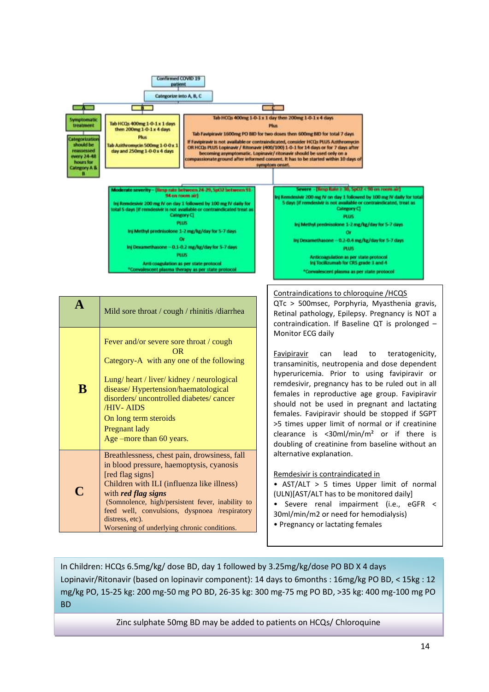

In Children: HCQs 6.5mg/kg/ dose BD, day 1 followed by 3.25mg/kg/dose PO BD X 4 days Lopinavir/Ritonavir (based on lopinavir component): 14 days to 6months : 16mg/kg PO BD, < 15kg : 12 mg/kg PO, 15-25 kg: 200 mg-50 mg PO BD, 26-35 kg: 300 mg-75 mg PO BD, >35 kg: 400 mg-100 mg PO BD

Zinc sulphate 50mg BD may be added to patients on HCQs/ Chloroquine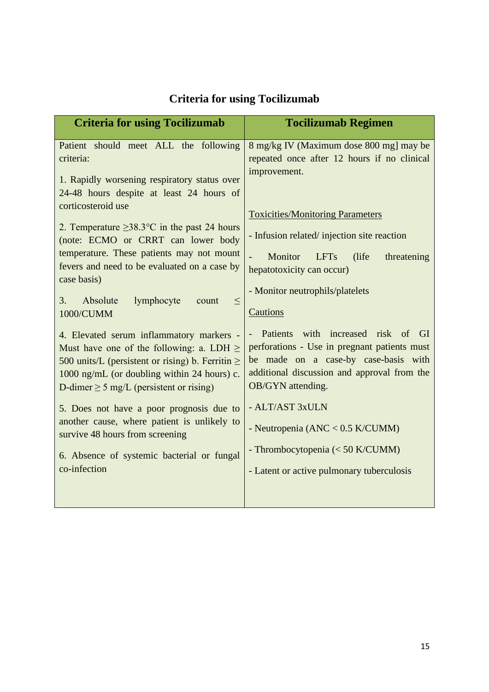| <b>Criteria for using Tocilizumab</b>                                                                                                                                                                                                                                                                                                                                                                                                        | <b>Tocilizumab Regimen</b>                                                                                                                                                                                                                                                                                                                              |
|----------------------------------------------------------------------------------------------------------------------------------------------------------------------------------------------------------------------------------------------------------------------------------------------------------------------------------------------------------------------------------------------------------------------------------------------|---------------------------------------------------------------------------------------------------------------------------------------------------------------------------------------------------------------------------------------------------------------------------------------------------------------------------------------------------------|
| Patient should meet ALL the following<br>criteria:<br>1. Rapidly worsening respiratory status over<br>24-48 hours despite at least 24 hours of<br>corticosteroid use                                                                                                                                                                                                                                                                         | 8 mg/kg IV (Maximum dose 800 mg] may be<br>repeated once after 12 hours if no clinical<br>improvement.                                                                                                                                                                                                                                                  |
| 2. Temperature $\geq$ 38.3°C in the past 24 hours<br>(note: ECMO or CRRT can lower body<br>temperature. These patients may not mount<br>fevers and need to be evaluated on a case by<br>case basis)<br>Absolute<br>lymphocyte<br>3.<br>$\leq$<br>count<br>1000/CUMM                                                                                                                                                                          | <b>Toxicities/Monitoring Parameters</b><br>- Infusion related/injection site reaction<br>Monitor<br><b>LFTs</b><br>(life)<br>threatening<br>hepatotoxicity can occur)<br>- Monitor neutrophils/platelets<br>Cautions                                                                                                                                    |
| 4. Elevated serum inflammatory markers -<br>Must have one of the following: a. LDH $\geq$<br>500 units/L (persistent or rising) b. Ferritin $\ge$<br>1000 ng/mL (or doubling within 24 hours) c.<br>D-dimer $\geq$ 5 mg/L (persistent or rising)<br>5. Does not have a poor prognosis due to<br>another cause, where patient is unlikely to<br>survive 48 hours from screening<br>6. Absence of systemic bacterial or fungal<br>co-infection | with increased risk of<br><b>Patients</b><br>- GI<br>perforations - Use in pregnant patients must<br>be made on a case-by case-basis with<br>additional discussion and approval from the<br>OB/GYN attending.<br>- ALT/AST 3xULN<br>- Neutropenia (ANC < $0.5$ K/CUMM)<br>- Thrombocytopenia (< 50 K/CUMM)<br>- Latent or active pulmonary tuberculosis |

# **Criteria for using Tocilizumab**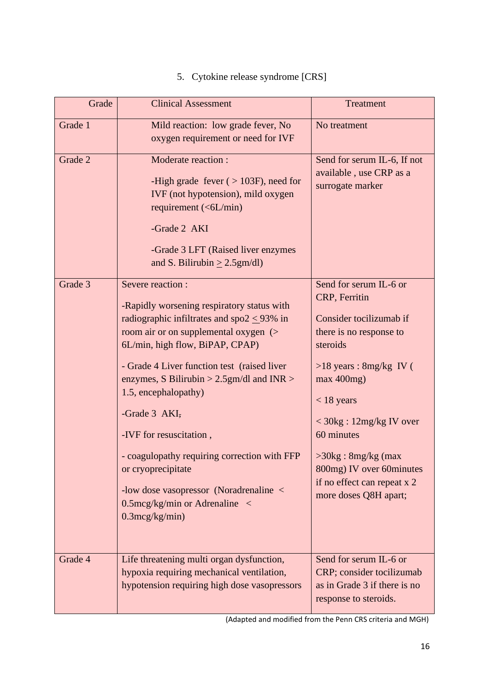# 5. Cytokine release syndrome [CRS]

| Grade   | <b>Clinical Assessment</b>                                                                                                                                                                                                                                                                                                                                                                                                                                                                                                                   | <b>Treatment</b>                                                                                                                                                                                                                                                                                                                         |
|---------|----------------------------------------------------------------------------------------------------------------------------------------------------------------------------------------------------------------------------------------------------------------------------------------------------------------------------------------------------------------------------------------------------------------------------------------------------------------------------------------------------------------------------------------------|------------------------------------------------------------------------------------------------------------------------------------------------------------------------------------------------------------------------------------------------------------------------------------------------------------------------------------------|
| Grade 1 | Mild reaction: low grade fever, No<br>oxygen requirement or need for IVF                                                                                                                                                                                                                                                                                                                                                                                                                                                                     | No treatment                                                                                                                                                                                                                                                                                                                             |
| Grade 2 | <b>Moderate reaction:</b><br>-High grade fever $($ > 103F), need for<br>IVF (not hypotension), mild oxygen<br>requirement (<6L/min)<br>-Grade 2 AKI<br>-Grade 3 LFT (Raised liver enzymes)<br>and S. Bilirubin $\geq$ 2.5gm/dl)                                                                                                                                                                                                                                                                                                              | Send for serum IL-6, If not<br>available, use CRP as a<br>surrogate marker                                                                                                                                                                                                                                                               |
| Grade 3 | Severe reaction :<br>-Rapidly worsening respiratory status with<br>radiographic infiltrates and spo $2 \leq 93\%$ in<br>room air or on supplemental oxygen (><br>6L/min, high flow, BiPAP, CPAP)<br>- Grade 4 Liver function test (raised liver<br>enzymes, S Bilirubin > $2.5$ gm/dl and INR ><br>1.5, encephalopathy)<br>-Grade 3 AKI,<br>-IVF for resuscitation,<br>- coagulopathy requiring correction with FFP<br>or cryoprecipitate<br>-low dose vasopressor (Noradrenaline <<br>$0.5$ mcg/kg/min or Adrenaline <<br>$0.3$ mcg/kg/min) | Send for serum IL-6 or<br>CRP, Ferritin<br>Consider tocilizumab if<br>there is no response to<br>steroids<br>$>18$ years : 8mg/kg IV (<br>$max$ 400 $mg$ )<br>$<$ 18 years<br>< 30kg : 12mg/kg IV over<br>60 minutes<br>$>30\text{kg}$ : 8mg/kg (max<br>800mg) IV over 60minutes<br>if no effect can repeat x 2<br>more doses Q8H apart; |
| Grade 4 | Life threatening multi organ dysfunction,<br>hypoxia requiring mechanical ventilation,<br>hypotension requiring high dose vasopressors                                                                                                                                                                                                                                                                                                                                                                                                       | Send for serum IL-6 or<br>CRP; consider tocilizumab<br>as in Grade 3 if there is no<br>response to steroids.                                                                                                                                                                                                                             |

(Adapted and modified from the Penn CRS criteria and MGH)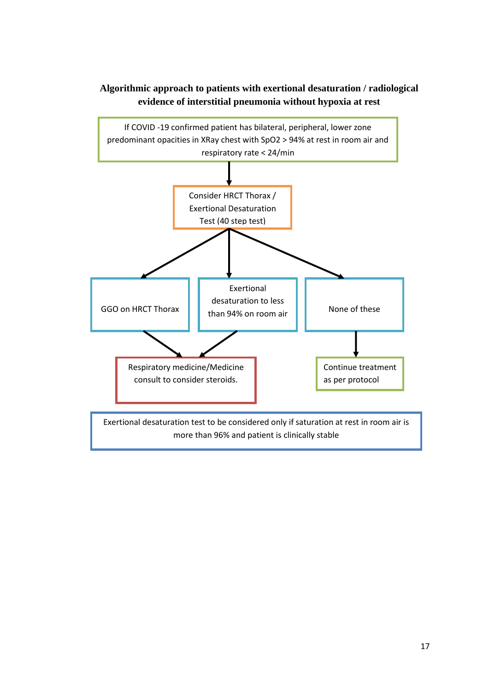

### **Algorithmic approach to patients with exertional desaturation / radiological evidence of interstitial pneumonia without hypoxia at rest**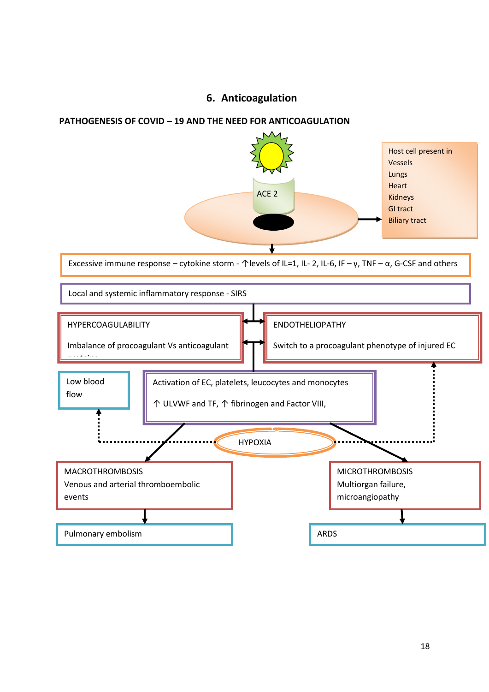### **6. Anticoagulation**

#### **PATHOGENESIS OF COVID – 19 AND THE NEED FOR ANTICOAGULATION**

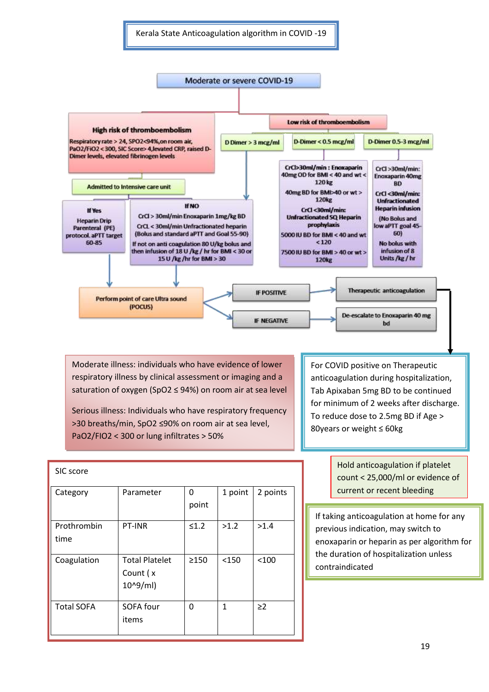Kerala State Anticoagulation algorithm in COVID -19



Moderate illness: individuals who have evidence of lower respiratory illness by clinical assessment or imaging and a saturation of oxygen (SpO2 ≤ 94%) on room air at sea level

Serious illness: Individuals who have respiratory frequency >30 breaths/min, SpO2 ≤90% on room air at sea level, PaO2/FIO2 < 300 or lung infiltrates > 50%

For COVID positive on Therapeutic anticoagulation during hospitalization, Tab Apixaban 5mg BD to be continued for minimum of 2 weeks after discharge. To reduce dose to 2.5mg BD if Age > 80years or weight ≤ 60kg

| SIC score           |                                                      |            |              |          |
|---------------------|------------------------------------------------------|------------|--------------|----------|
| Category            | Parameter                                            | 0<br>point | 1 point      | 2 points |
| Prothrombin<br>time | PT-INR                                               | $\leq 1.2$ | >1.2         | >1.4     |
| Coagulation         | <b>Total Platelet</b><br>Count (x<br>$10^{0.9}$ /ml) | >150       | < 150        | < 100    |
| <b>Total SOFA</b>   | SOFA four<br>items                                   | 0          | $\mathbf{1}$ | $\geq$ 2 |

Hold anticoagulation if platelet count < 25,000/ml or evidence of current or recent bleeding

If taking anticoagulation at home for any previous indication, may switch to enoxaparin or heparin as per algorithm for the duration of hospitalization unless contraindicated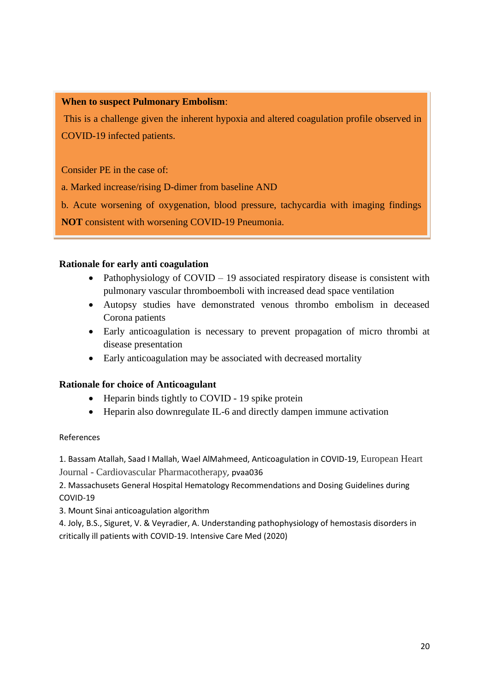#### **When to suspect Pulmonary Embolism**:

This is a challenge given the inherent hypoxia and altered coagulation profile observed in COVID-19 infected patients.

Consider PE in the case of:

a. Marked increase/rising D-dimer from baseline AND

b. Acute worsening of oxygenation, blood pressure, tachycardia with imaging findings

**NOT** consistent with worsening COVID-19 Pneumonia.

#### **Rationale for early anti coagulation**

- Pathophysiology of COVID 19 associated respiratory disease is consistent with pulmonary vascular thromboemboli with increased dead space ventilation
- Autopsy studies have demonstrated venous thrombo embolism in deceased Corona patients
- Early anticoagulation is necessary to prevent propagation of micro thrombi at disease presentation
- Early anticoagulation may be associated with decreased mortality

#### **Rationale for choice of Anticoagulant**

- Heparin binds tightly to COVID 19 spike protein
- Heparin also downregulate IL-6 and directly dampen immune activation

#### References

1. Bassam Atallah, Saad I Mallah, Wael AlMahmeed, Anticoagulation in COVID-19, European Heart Journal - Cardiovascular Pharmacotherapy*,* pvaa036

2. Massachusets General Hospital Hematology Recommendations and Dosing Guidelines during COVID-19

3. Mount Sinai anticoagulation algorithm

4. Joly, B.S., Siguret, V. & Veyradier, A. Understanding pathophysiology of hemostasis disorders in critically ill patients with COVID-19. Intensive Care Med (2020)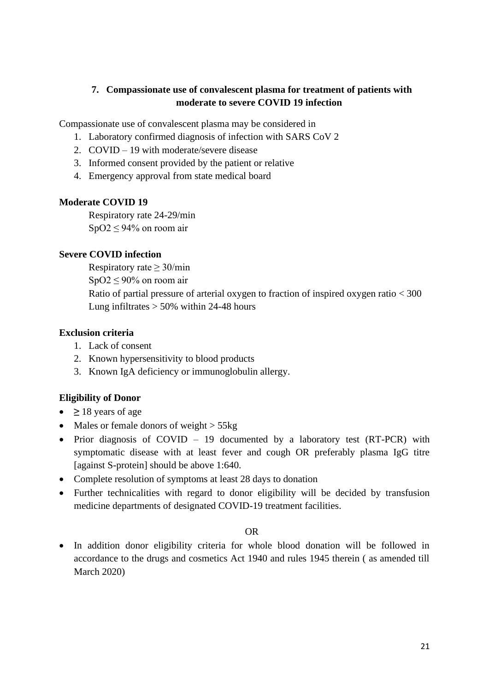### **7. Compassionate use of convalescent plasma for treatment of patients with moderate to severe COVID 19 infection**

Compassionate use of convalescent plasma may be considered in

- 1. Laboratory confirmed diagnosis of infection with SARS CoV 2
- 2. COVID 19 with moderate/severe disease
- 3. Informed consent provided by the patient or relative
- 4. Emergency approval from state medical board

#### **Moderate COVID 19**

Respiratory rate 24-29/min  $SpO2 \leq 94\%$  on room air

#### **Severe COVID infection**

Respiratory rate  $> 30$ /min

 $SpO2 \leq 90\%$  on room air

Ratio of partial pressure of arterial oxygen to fraction of inspired oxygen ratio < 300 Lung infiltrates  $> 50\%$  within 24-48 hours

#### **Exclusion criteria**

- 1. Lack of consent
- 2. Known hypersensitivity to blood products
- 3. Known IgA deficiency or immunoglobulin allergy.

### **Eligibility of Donor**

- **≥** 18 years of age
- Males or female donors of weight  $>$  55kg
- Prior diagnosis of COVID 19 documented by a laboratory test (RT-PCR) with symptomatic disease with at least fever and cough OR preferably plasma IgG titre [against S-protein] should be above 1:640.
- Complete resolution of symptoms at least 28 days to donation
- Further technicalities with regard to donor eligibility will be decided by transfusion medicine departments of designated COVID-19 treatment facilities.

#### OR

• In addition donor eligibility criteria for whole blood donation will be followed in accordance to the drugs and cosmetics Act 1940 and rules 1945 therein ( as amended till March 2020)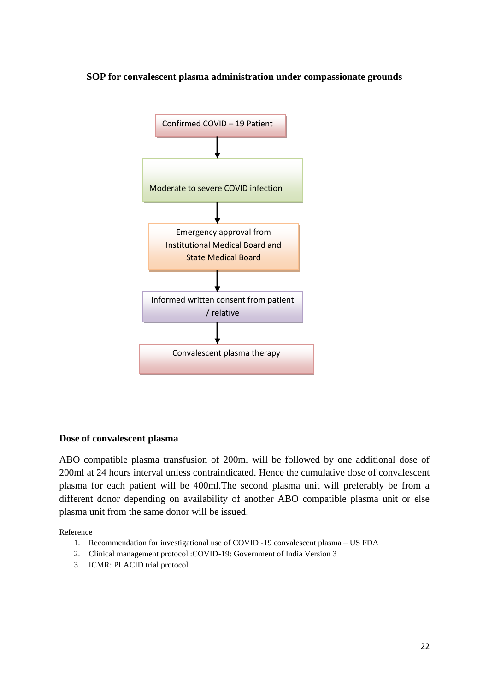#### **SOP for convalescent plasma administration under compassionate grounds**



#### **Dose of convalescent plasma**

ABO compatible plasma transfusion of 200ml will be followed by one additional dose of 200ml at 24 hours interval unless contraindicated. Hence the cumulative dose of convalescent plasma for each patient will be 400ml.The second plasma unit will preferably be from a different donor depending on availability of another ABO compatible plasma unit or else plasma unit from the same donor will be issued.

Reference

- 1. Recommendation for investigational use of COVID -19 convalescent plasma US FDA
- 2. Clinical management protocol :COVID-19: Government of India Version 3
- 3. ICMR: PLACID trial protocol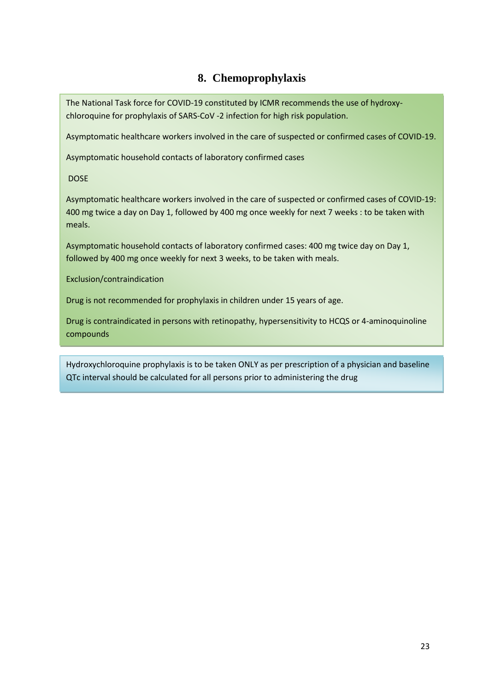### **8. Chemoprophylaxis**

The National Task force for COVID-19 constituted by ICMR recommends the use of hydroxychloroquine for prophylaxis of SARS-CoV -2 infection for high risk population.

Asymptomatic healthcare workers involved in the care of suspected or confirmed cases of COVID-19.

Asymptomatic household contacts of laboratory confirmed cases

DOSE

Asymptomatic healthcare workers involved in the care of suspected or confirmed cases of COVID-19: 400 mg twice a day on Day 1, followed by 400 mg once weekly for next 7 weeks : to be taken with meals.

Asymptomatic household contacts of laboratory confirmed cases: 400 mg twice day on Day 1, followed by 400 mg once weekly for next 3 weeks, to be taken with meals.

Exclusion/contraindication

Drug is not recommended for prophylaxis in children under 15 years of age.

Drug is contraindicated in persons with retinopathy, hypersensitivity to HCQS or 4-aminoquinoline compounds

Hydroxychloroquine prophylaxis is to be taken ONLY as per prescription of a physician and baseline QTc interval should be calculated for all persons prior to administering the drug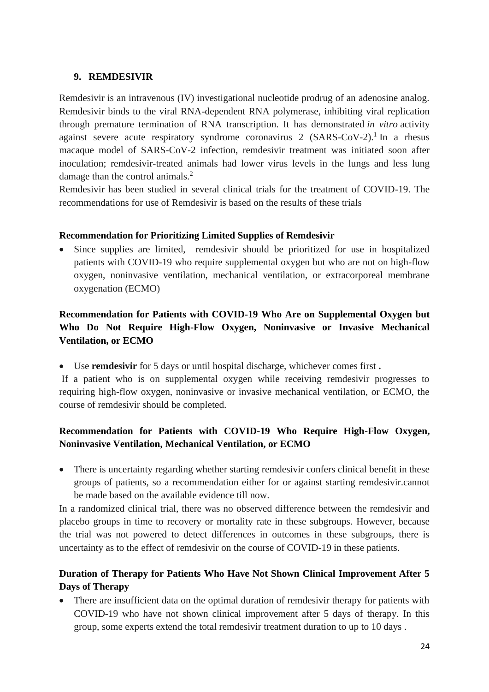### **9. REMDESIVIR**

Remdesivir is an intravenous (IV) investigational nucleotide prodrug of an adenosine analog. Remdesivir binds to the viral RNA-dependent RNA polymerase, inhibiting viral replication through premature termination of RNA transcription. It has demonstrated *in vitro* activity against severe acute respiratory syndrome coronavirus 2 (SARS-CoV-2).<sup>1</sup> In a rhesus macaque model of SARS-CoV-2 infection, remdesivir treatment was initiated soon after inoculation; remdesivir-treated animals had lower virus levels in the lungs and less lung damage than the control animals.<sup>2</sup>

Remdesivir has been studied in several clinical trials for the treatment of COVID-19. The recommendations for use of Remdesivir is based on the results of these trials

### **Recommendation for Prioritizing Limited Supplies of Remdesivir**

• Since supplies are limited, remdesivir should be prioritized for use in hospitalized patients with COVID-19 who require supplemental oxygen but who are not on high-flow oxygen, noninvasive ventilation, mechanical ventilation, or extracorporeal membrane oxygenation (ECMO)

### **Recommendation for Patients with COVID-19 Who Are on Supplemental Oxygen but Who Do Not Require High-Flow Oxygen, Noninvasive or Invasive Mechanical Ventilation, or ECMO**

• Use **remdesivir** for 5 days or until hospital discharge, whichever comes first **.**

If a patient who is on supplemental oxygen while receiving remdesivir progresses to requiring high-flow oxygen, noninvasive or invasive mechanical ventilation, or ECMO, the course of remdesivir should be completed.

### **Recommendation for Patients with COVID-19 Who Require High-Flow Oxygen, Noninvasive Ventilation, Mechanical Ventilation, or ECMO**

• There is uncertainty regarding whether starting remdesivir confers clinical benefit in these groups of patients, so a recommendation either for or against starting remdesivir.cannot be made based on the available evidence till now.

In a randomized clinical trial, there was no observed difference between the remdesivir and placebo groups in time to recovery or mortality rate in these subgroups. However, because the trial was not powered to detect differences in outcomes in these subgroups, there is uncertainty as to the effect of remdesivir on the course of COVID-19 in these patients.

### **Duration of Therapy for Patients Who Have Not Shown Clinical Improvement After 5 Days of Therapy**

• There are insufficient data on the optimal duration of remdesivir therapy for patients with COVID-19 who have not shown clinical improvement after 5 days of therapy. In this group, some experts extend the total remdesivir treatment duration to up to 10 days .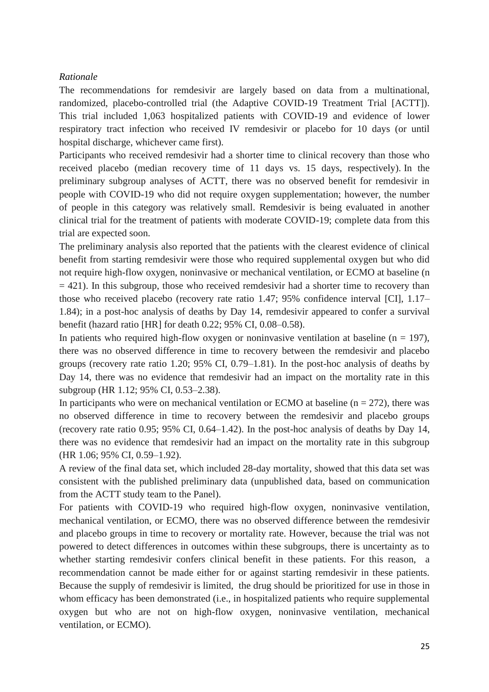#### *Rationale*

The recommendations for remdesivir are largely based on data from a multinational, randomized, placebo-controlled trial (the Adaptive COVID-19 Treatment Trial [ACTT]). This trial included 1,063 hospitalized patients with COVID-19 and evidence of lower respiratory tract infection who received IV remdesivir or placebo for 10 days (or until hospital discharge, whichever came first).

Participants who received remdesivir had a shorter time to clinical recovery than those who received placebo (median recovery time of 11 days vs. 15 days, respectively). In the preliminary subgroup analyses of ACTT, there was no observed benefit for remdesivir in people with COVID-19 who did not require oxygen supplementation; however, the number of people in this category was relatively small. Remdesivir is being evaluated in another clinical trial for the treatment of patients with moderate COVID-19; complete data from this trial are expected soon.

The preliminary analysis also reported that the patients with the clearest evidence of clinical benefit from starting remdesivir were those who required supplemental oxygen but who did not require high-flow oxygen, noninvasive or mechanical ventilation, or ECMO at baseline (n  $= 421$ ). In this subgroup, those who received remdesivir had a shorter time to recovery than those who received placebo (recovery rate ratio 1.47; 95% confidence interval [CI], 1.17– 1.84); in a post-hoc analysis of deaths by Day 14, remdesivir appeared to confer a survival benefit (hazard ratio [HR] for death 0.22; 95% CI, 0.08–0.58).

In patients who required high-flow oxygen or noninvasive ventilation at baseline ( $n = 197$ ), there was no observed difference in time to recovery between the remdesivir and placebo groups (recovery rate ratio 1.20; 95% CI, 0.79–1.81). In the post-hoc analysis of deaths by Day 14, there was no evidence that remdesivir had an impact on the mortality rate in this subgroup (HR 1.12; 95% CI, 0.53–2.38).

In participants who were on mechanical ventilation or ECMO at baseline  $(n = 272)$ , there was no observed difference in time to recovery between the remdesivir and placebo groups (recovery rate ratio 0.95; 95% CI, 0.64–1.42). In the post-hoc analysis of deaths by Day 14, there was no evidence that remdesivir had an impact on the mortality rate in this subgroup (HR 1.06; 95% CI, 0.59–1.92).

A review of the final data set, which included 28-day mortality, showed that this data set was consistent with the published preliminary data (unpublished data, based on communication from the ACTT study team to the Panel).

For patients with COVID-19 who required high-flow oxygen, noninvasive ventilation, mechanical ventilation, or ECMO, there was no observed difference between the remdesivir and placebo groups in time to recovery or mortality rate. However, because the trial was not powered to detect differences in outcomes within these subgroups, there is uncertainty as to whether starting remdesivir confers clinical benefit in these patients. For this reason, a recommendation cannot be made either for or against starting remdesivir in these patients. Because the supply of remdesivir is limited, the drug should be prioritized for use in those in whom efficacy has been demonstrated (i.e., in hospitalized patients who require supplemental oxygen but who are not on high-flow oxygen, noninvasive ventilation, mechanical ventilation, or ECMO).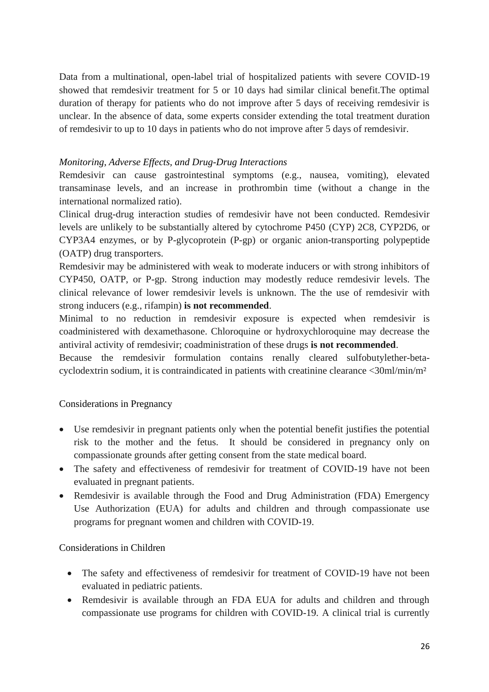Data from a multinational, open-label trial of hospitalized patients with severe COVID-19 showed that remdesivir treatment for 5 or 10 days had similar clinical benefit.The optimal duration of therapy for patients who do not improve after 5 days of receiving remdesivir is unclear. In the absence of data, some experts consider extending the total treatment duration of remdesivir to up to 10 days in patients who do not improve after 5 days of remdesivir.

#### *Monitoring, Adverse Effects, and Drug-Drug Interactions*

Remdesivir can cause gastrointestinal symptoms (e.g., nausea, vomiting), elevated transaminase levels, and an increase in prothrombin time (without a change in the international normalized ratio).

Clinical drug-drug interaction studies of remdesivir have not been conducted. Remdesivir levels are unlikely to be substantially altered by cytochrome P450 (CYP) 2C8, CYP2D6, or CYP3A4 enzymes, or by P-glycoprotein (P-gp) or organic anion-transporting polypeptide (OATP) drug transporters.

Remdesivir may be administered with weak to moderate inducers or with strong inhibitors of CYP450, OATP, or P-gp. Strong induction may modestly reduce remdesivir levels. The clinical relevance of lower remdesivir levels is unknown. The the use of remdesivir with strong inducers (e.g., rifampin) **is not recommended**.

Minimal to no reduction in remdesivir exposure is expected when remdesivir is coadministered with dexamethasone. Chloroquine or hydroxychloroquine may decrease the antiviral activity of remdesivir; coadministration of these drugs **is not recommended**.

Because the remdesivir formulation contains renally cleared sulfobutylether-betacyclodextrin sodium, it is contraindicated in patients with creatinine clearance <30ml/min/m²

#### Considerations in Pregnancy

- Use remdesivir in pregnant patients only when the potential benefit justifies the potential risk to the mother and the fetus. It should be considered in pregnancy only on compassionate grounds after getting consent from the state medical board.
- The safety and effectiveness of remdesivir for treatment of COVID-19 have not been evaluated in pregnant patients.
- Remdesivir is available through the Food and Drug Administration (FDA) Emergency Use Authorization (EUA) for adults and children and through compassionate use programs for pregnant women and children with COVID-19.

#### Considerations in Children

- The safety and effectiveness of remdesivir for treatment of COVID-19 have not been evaluated in pediatric patients.
- Remdesivir is available through an FDA EUA for adults and children and through compassionate use programs for children with COVID-19. A clinical trial is currently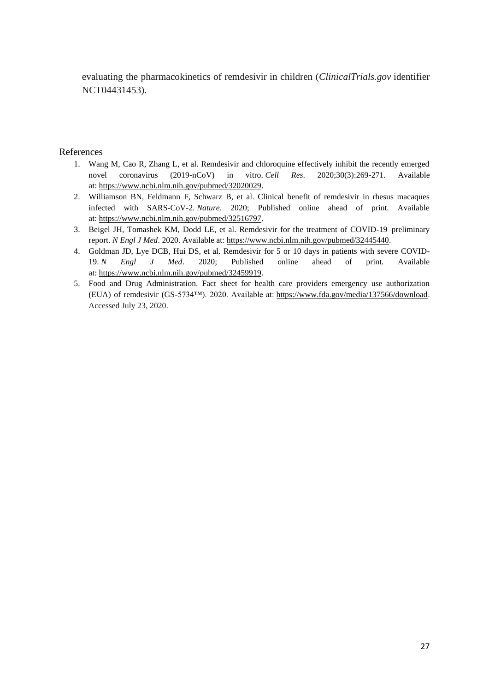evaluating the pharmacokinetics of remdesivir in children (*ClinicalTrials.gov* identifier NCT04431453).

#### References

- 1. Wang M, Cao R, Zhang L, et al. Remdesivir and chloroquine effectively inhibit the recently emerged novel coronavirus (2019-nCoV) in vitro. *Cell Res*. 2020;30(3):269-271. Available at: [https://www.ncbi.nlm.nih.gov/pubmed/32020029.](https://www.ncbi.nlm.nih.gov/pubmed/32020029)
- 2. Williamson BN, Feldmann F, Schwarz B, et al. Clinical benefit of remdesivir in rhesus macaques infected with SARS-CoV-2. *Nature*. 2020; Published online ahead of print. Available at: [https://www.ncbi.nlm.nih.gov/pubmed/32516797.](https://www.ncbi.nlm.nih.gov/pubmed/32516797)
- 3. Beigel JH, Tomashek KM, Dodd LE, et al. Remdesivir for the treatment of COVID-19–preliminary report. *N Engl J Med*. 2020. Available at: [https://www.ncbi.nlm.nih.gov/pubmed/32445440.](https://www.ncbi.nlm.nih.gov/pubmed/32445440)
- 4. Goldman JD, Lye DCB, Hui DS, et al. Remdesivir for 5 or 10 days in patients with severe COVID-19. *N Engl J Med*. 2020; Published online ahead of print. Available at: [https://www.ncbi.nlm.nih.gov/pubmed/32459919.](https://www.ncbi.nlm.nih.gov/pubmed/32459919)
- 5. Food and Drug Administration. Fact sheet for health care providers emergency use authorization (EUA) of remdesivir (GS-5734™). 2020. Available at: [https://www.fda.gov/media/137566/download.](https://www.fda.gov/media/137566/download) Accessed July 23, 2020.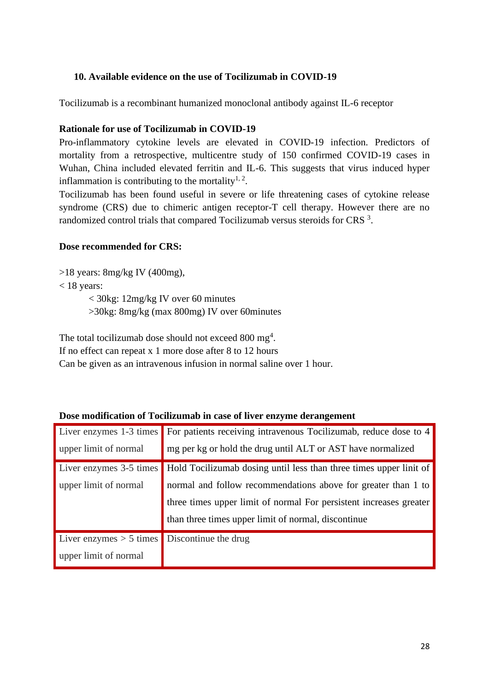### **10. Available evidence on the use of Tocilizumab in COVID-19**

Tocilizumab is a recombinant humanized monoclonal antibody against IL-6 receptor

#### **Rationale for use of Tocilizumab in COVID-19**

Pro-inflammatory cytokine levels are elevated in COVID-19 infection. Predictors of mortality from a retrospective, multicentre study of 150 confirmed COVID-19 cases in Wuhan, China included elevated ferritin and IL-6. This suggests that virus induced hyper inflammation is contributing to the mortality<sup>1, 2</sup>.

Tocilizumab has been found useful in severe or life threatening cases of cytokine release syndrome (CRS) due to chimeric antigen receptor-T cell therapy. However there are no randomized control trials that compared Tocilizumab versus steroids for CRS<sup>3</sup>.

#### **Dose recommended for CRS:**

>18 years: 8mg/kg IV (400mg),

 $<$  18 years:

< 30kg: 12mg/kg IV over 60 minutes >30kg: 8mg/kg (max 800mg) IV over 60minutes

The total tocilizumab dose should not exceed 800 mg<sup>4</sup>.

If no effect can repeat x 1 more dose after 8 to 12 hours

Can be given as an intravenous infusion in normal saline over 1 hour.

| Liver enzymes 1-3 times   | For patients receiving intravenous Tocilizumab, reduce dose to 4   |
|---------------------------|--------------------------------------------------------------------|
| upper limit of normal     | mg per kg or hold the drug until ALT or AST have normalized        |
| Liver enzymes 3-5 times   | Hold Tocilizumab dosing until less than three times upper linit of |
| upper limit of normal     | normal and follow recommendations above for greater than 1 to      |
|                           | three times upper limit of normal For persistent increases greater |
|                           | than three times upper limit of normal, discontinue                |
| Liver enzymes $> 5$ times | Discontinue the drug                                               |
| upper limit of normal     |                                                                    |

#### **Dose modification of Tocilizumab in case of liver enzyme derangement**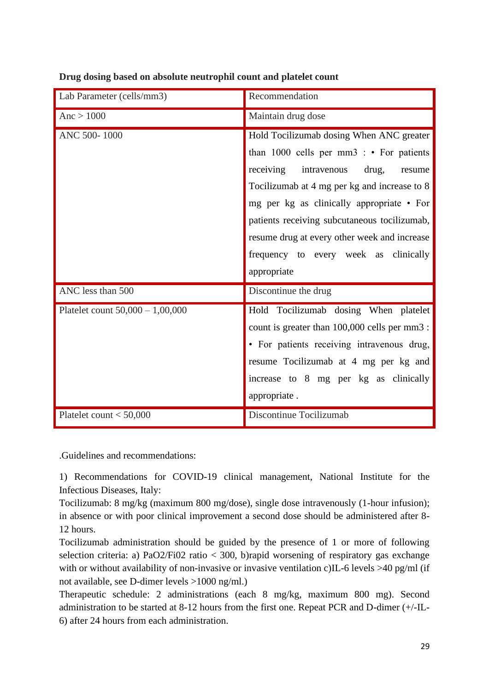|                                    | Recommendation                                                                                                                                                                                                                                                                                                                                                              |
|------------------------------------|-----------------------------------------------------------------------------------------------------------------------------------------------------------------------------------------------------------------------------------------------------------------------------------------------------------------------------------------------------------------------------|
| Lab Parameter (cells/mm3)          |                                                                                                                                                                                                                                                                                                                                                                             |
| Anc > 1000                         | Maintain drug dose                                                                                                                                                                                                                                                                                                                                                          |
| ANC 500-1000                       | Hold Tocilizumab dosing When ANC greater<br>than $1000$ cells per mm3 : • For patients<br>receiving<br>intravenous<br>drug,<br>resume<br>Tocilizumab at 4 mg per kg and increase to 8<br>mg per kg as clinically appropriate • For<br>patients receiving subcutaneous tocilizumab,<br>resume drug at every other week and increase<br>frequency to every week as clinically |
|                                    | appropriate                                                                                                                                                                                                                                                                                                                                                                 |
| ANC less than 500                  | Discontinue the drug                                                                                                                                                                                                                                                                                                                                                        |
| Platelet count $50,000 - 1,00,000$ | Hold Tocilizumab dosing When platelet<br>count is greater than 100,000 cells per mm3 :<br>• For patients receiving intravenous drug,<br>resume Tocilizumab at 4 mg per kg and<br>increase to 8 mg per kg as clinically<br>appropriate.                                                                                                                                      |
| Platelet count $<$ 50,000          | Discontinue Tocilizumab                                                                                                                                                                                                                                                                                                                                                     |

**Drug dosing based on absolute neutrophil count and platelet count**

.Guidelines and recommendations:

1) Recommendations for COVID-19 clinical management, National Institute for the Infectious Diseases, Italy:

Tocilizumab: 8 mg/kg (maximum 800 mg/dose), single dose intravenously (1-hour infusion); in absence or with poor clinical improvement a second dose should be administered after 8- 12 hours.

Tocilizumab administration should be guided by the presence of 1 or more of following selection criteria: a) PaO2/Fi02 ratio < 300, b)rapid worsening of respiratory gas exchange with or without availability of non-invasive or invasive ventilation c)IL-6 levels >40 pg/ml (if not available, see D-dimer levels >1000 ng/ml.)

Therapeutic schedule: 2 administrations (each 8 mg/kg, maximum 800 mg). Second administration to be started at 8-12 hours from the first one. Repeat PCR and D-dimer (+/-IL-6) after 24 hours from each administration.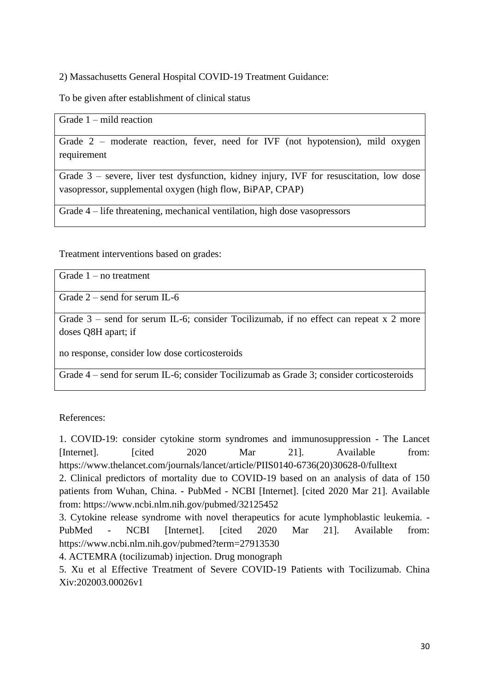2) Massachusetts General Hospital COVID-19 Treatment Guidance:

To be given after establishment of clinical status

Grade 1 – mild reaction

Grade 2 – moderate reaction, fever, need for IVF (not hypotension), mild oxygen requirement

Grade 3 – severe, liver test dysfunction, kidney injury, IVF for resuscitation, low dose vasopressor, supplemental oxygen (high flow, BiPAP, CPAP)

Grade 4 – life threatening, mechanical ventilation, high dose vasopressors

Treatment interventions based on grades:

Grade 1 – no treatment

Grade 2 – send for serum IL-6

Grade 3 – send for serum IL-6; consider Tocilizumab, if no effect can repeat x 2 more doses Q8H apart; if

no response, consider low dose corticosteroids

Grade 4 – send for serum IL-6; consider Tocilizumab as Grade 3; consider corticosteroids

References:

1. COVID-19: consider cytokine storm syndromes and immunosuppression - The Lancet [Internet]. [cited 2020 Mar 21]. Available from: https://www.thelancet.com/journals/lancet/article/PIIS0140-6736(20)30628-0/fulltext

2. Clinical predictors of mortality due to COVID-19 based on an analysis of data of 150 patients from Wuhan, China. - PubMed - NCBI [Internet]. [cited 2020 Mar 21]. Available from: https://www.ncbi.nlm.nih.gov/pubmed/32125452

3. Cytokine release syndrome with novel therapeutics for acute lymphoblastic leukemia. - PubMed - NCBI [Internet]. [cited 2020 Mar 21]. Available from: https://www.ncbi.nlm.nih.gov/pubmed?term=27913530

4. ACTEMRA (tocilizumab) injection. Drug monograph

5. Xu et al Effective Treatment of Severe COVID-19 Patients with Tocilizumab. China Xiv:202003.00026v1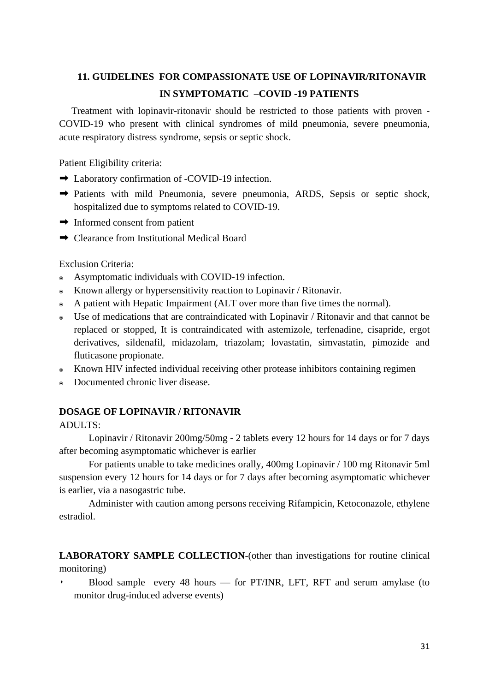# **11. GUIDELINES FOR COMPASSIONATE USE OF LOPINAVIR/RITONAVIR IN SYMPTOMATIC –COVID -19 PATIENTS**

 Treatment with lopinavir-ritonavir should be restricted to those patients with proven - COVID-19 who present with clinical syndromes of mild pneumonia, severe pneumonia, acute respiratory distress syndrome, sepsis or septic shock.

Patient Eligibility criteria:

- ➡ Laboratory confirmation of -COVID-19 infection.
- ➡ Patients with mild Pneumonia, severe pneumonia, ARDS, Sepsis or septic shock, hospitalized due to symptoms related to COVID-19.
- $\rightarrow$  Informed consent from patient
- ➡ Clearance from Institutional Medical Board

Exclusion Criteria:

- ๏ Asymptomatic individuals with COVID-19 infection.
- ๏ Known allergy or hypersensitivity reaction to Lopinavir / Ritonavir.
- A patient with Hepatic Impairment (ALT over more than five times the normal).
- ๏ Use of medications that are contraindicated with Lopinavir / Ritonavir and that cannot be replaced or stopped, It is contraindicated with astemizole, terfenadine, cisapride, ergot derivatives, sildenafil, midazolam, triazolam; lovastatin, simvastatin, pimozide and fluticasone propionate.
- Known HIV infected individual receiving other protease inhibitors containing regimen
- ๏ Documented chronic liver disease.

### **DOSAGE OF LOPINAVIR / RITONAVIR**

ADULTS:

Lopinavir / Ritonavir 200mg/50mg - 2 tablets every 12 hours for 14 days or for 7 days after becoming asymptomatic whichever is earlier

For patients unable to take medicines orally, 400mg Lopinavir / 100 mg Ritonavir 5ml suspension every 12 hours for 14 days or for 7 days after becoming asymptomatic whichever is earlier, via a nasogastric tube.

Administer with caution among persons receiving Rifampicin, Ketoconazole, ethylene estradiol.

**LABORATORY SAMPLE COLLECTION**-(other than investigations for routine clinical monitoring)

‣ Blood sample every 48 hours — for PT/INR, LFT, RFT and serum amylase (to monitor drug-induced adverse events)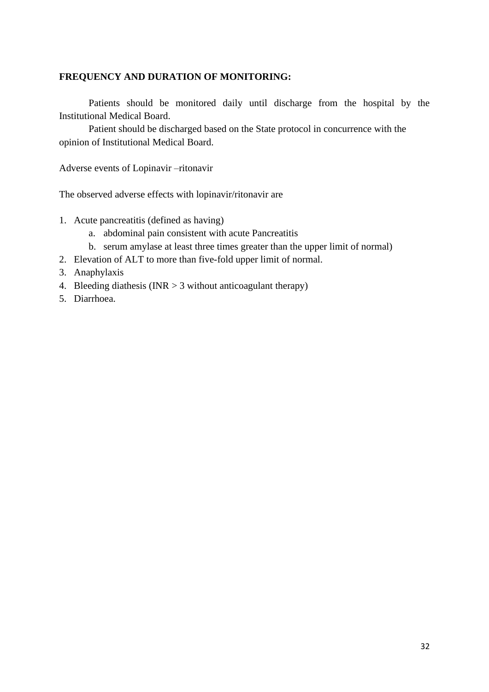### **FREQUENCY AND DURATION OF MONITORING:**

Patients should be monitored daily until discharge from the hospital by the Institutional Medical Board.

Patient should be discharged based on the State protocol in concurrence with the opinion of Institutional Medical Board.

Adverse events of Lopinavir –ritonavir

The observed adverse effects with lopinavir/ritonavir are

- 1. Acute pancreatitis (defined as having)
	- a. abdominal pain consistent with acute Pancreatitis
	- b. serum amylase at least three times greater than the upper limit of normal)
- 2. Elevation of ALT to more than five-fold upper limit of normal.
- 3. Anaphylaxis
- 4. Bleeding diathesis (INR  $>$  3 without anticoagulant therapy)
- 5. Diarrhoea.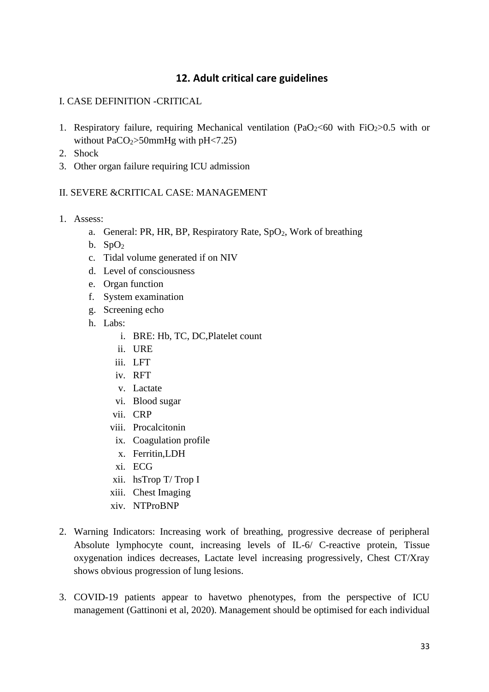### **12. Adult critical care guidelines**

### I. CASE DEFINITION -CRITICAL

- 1. Respiratory failure, requiring Mechanical ventilation (PaO<sub>2</sub> < 60 with FiO<sub>2</sub> > 0.5 with or without PaCO $2$ >50mmHg with pH $\leq$ 7.25)
- 2. Shock
- 3. Other organ failure requiring ICU admission

#### II. SEVERE &CRITICAL CASE: MANAGEMENT

- 1. Assess:
	- a. General: PR, HR, BP, Respiratory Rate, SpO<sub>2</sub>, Work of breathing
	- b.  $SpO<sub>2</sub>$
	- c. Tidal volume generated if on NIV
	- d. Level of consciousness
	- e. Organ function
	- f. System examination
	- g. Screening echo
	- h. Labs:
		- i. BRE: Hb, TC, DC,Platelet count
		- ii. URE
		- iii. LFT
		- iv. RFT
		- v. Lactate
		- vi. Blood sugar
		- vii. CRP
		- viii. Procalcitonin
		- ix. Coagulation profile
		- x. Ferritin,LDH
		- xi. ECG
		- xii. hsTrop T/ Trop I
		- xiii. Chest Imaging
		- xiv. NTProBNP
- 2. Warning Indicators: Increasing work of breathing, progressive decrease of peripheral Absolute lymphocyte count, increasing levels of IL-6/ C-reactive protein, Tissue oxygenation indices decreases, Lactate level increasing progressively, Chest CT/Xray shows obvious progression of lung lesions.
- 3. COVID-19 patients appear to havetwo phenotypes, from the perspective of ICU management (Gattinoni et al, 2020). Management should be optimised for each individual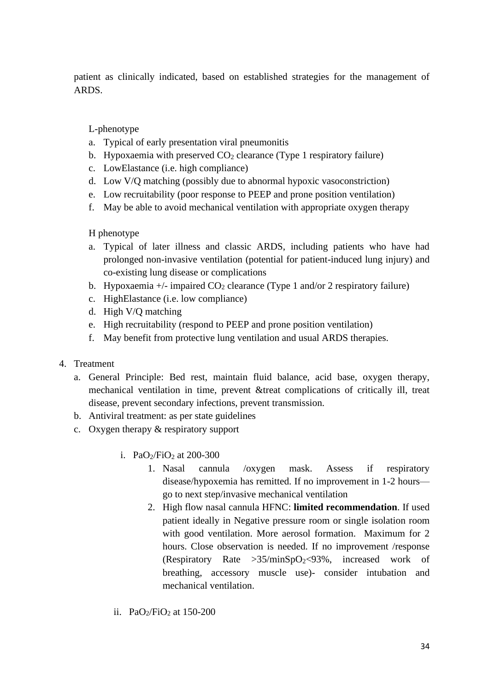patient as clinically indicated, based on established strategies for the management of ARDS.

### L-phenotype

- a. Typical of early presentation viral pneumonitis
- b. Hypoxaemia with preserved  $CO<sub>2</sub>$  clearance (Type 1 respiratory failure)
- c. LowElastance (i.e. high compliance)
- d. Low V/Q matching (possibly due to abnormal hypoxic vasoconstriction)
- e. Low recruitability (poor response to PEEP and prone position ventilation)
- f. May be able to avoid mechanical ventilation with appropriate oxygen therapy

### H phenotype

- a. Typical of later illness and classic ARDS, including patients who have had prolonged non-invasive ventilation (potential for patient-induced lung injury) and co-existing lung disease or complications
- b. Hypoxaemia  $+/-$  impaired CO<sub>2</sub> clearance (Type 1 and/or 2 respiratory failure)
- c. HighElastance (i.e. low compliance)
- d. High V/Q matching
- e. High recruitability (respond to PEEP and prone position ventilation)
- f. May benefit from protective lung ventilation and usual ARDS therapies.

### 4. Treatment

- a. General Principle: Bed rest, maintain fluid balance, acid base, oxygen therapy, mechanical ventilation in time, prevent &treat complications of critically ill, treat disease, prevent secondary infections, prevent transmission.
- b. Antiviral treatment: as per state guidelines
- c. Oxygen therapy & respiratory support
	- i. Pa $O_2$ /FiO<sub>2</sub> at 200-300
		- 1. Nasal cannula /oxygen mask. Assess if respiratory disease/hypoxemia has remitted. If no improvement in 1-2 hours go to next step/invasive mechanical ventilation
		- 2. High flow nasal cannula HFNC: **limited recommendation**. If used patient ideally in Negative pressure room or single isolation room with good ventilation. More aerosol formation. Maximum for 2 hours. Close observation is needed. If no improvement /response (Respiratory Rate  $>35/minSpO<sub>2</sub>< 93%$ , increased work of breathing, accessory muscle use)- consider intubation and mechanical ventilation.
	- ii. Pa $O_2$ /FiO<sub>2</sub> at 150-200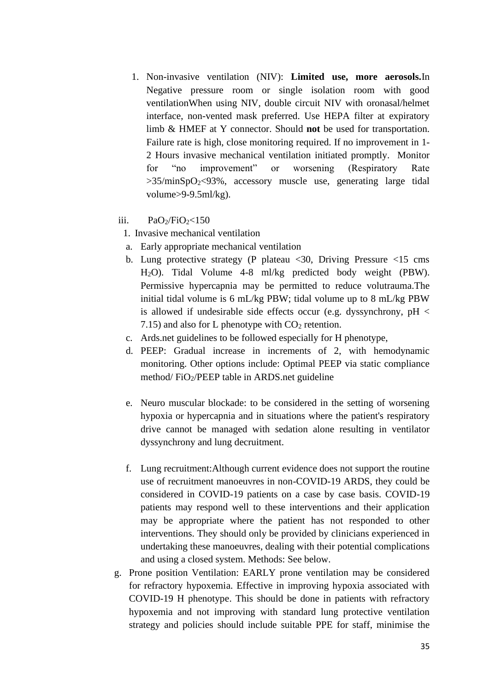- 1. Non-invasive ventilation (NIV): **Limited use, more aerosols.**In Negative pressure room or single isolation room with good ventilationWhen using NIV, double circuit NIV with oronasal/helmet interface, non-vented mask preferred. Use HEPA filter at expiratory limb & HMEF at Y connector. Should **not** be used for transportation. Failure rate is high, close monitoring required. If no improvement in 1- 2 Hours invasive mechanical ventilation initiated promptly. Monitor for "no improvement" or worsening (Respiratory Rate  $>35/\text{minSpO}_2$ <93%, accessory muscle use, generating large tidal volume>9-9.5ml/kg).
- iii.  $PaO<sub>2</sub>/FiO<sub>2</sub><150$ 
	- 1. Invasive mechanical ventilation
	- a. Early appropriate mechanical ventilation
	- b. Lung protective strategy (P plateau <30, Driving Pressure <15 cms H2O). Tidal Volume 4-8 ml/kg predicted body weight (PBW). Permissive hypercapnia may be permitted to reduce volutrauma.The initial tidal volume is 6 mL/kg PBW; tidal volume up to 8 mL/kg PBW is allowed if undesirable side effects occur (e.g. dyssynchrony,  $pH <$ 7.15) and also for L phenotype with  $CO<sub>2</sub>$  retention.
	- c. Ards.net guidelines to be followed especially for H phenotype,
	- d. PEEP: Gradual increase in increments of 2, with hemodynamic monitoring. Other options include: Optimal PEEP via static compliance method/ FiO2/PEEP table in ARDS.net guideline
	- e. Neuro muscular blockade: to be considered in the setting of worsening hypoxia or hypercapnia and in situations where the patient's respiratory drive cannot be managed with sedation alone resulting in ventilator dyssynchrony and lung decruitment.
	- f. Lung recruitment:Although current evidence does not support the routine use of recruitment manoeuvres in non-COVID-19 ARDS, they could be considered in COVID-19 patients on a case by case basis. COVID-19 patients may respond well to these interventions and their application may be appropriate where the patient has not responded to other interventions. They should only be provided by clinicians experienced in undertaking these manoeuvres, dealing with their potential complications and using a closed system. Methods: See below.
- g. Prone position Ventilation: EARLY prone ventilation may be considered for refractory hypoxemia. Effective in improving hypoxia associated with COVID-19 H phenotype. This should be done in patients with refractory hypoxemia and not improving with standard lung protective ventilation strategy and policies should include suitable PPE for staff, minimise the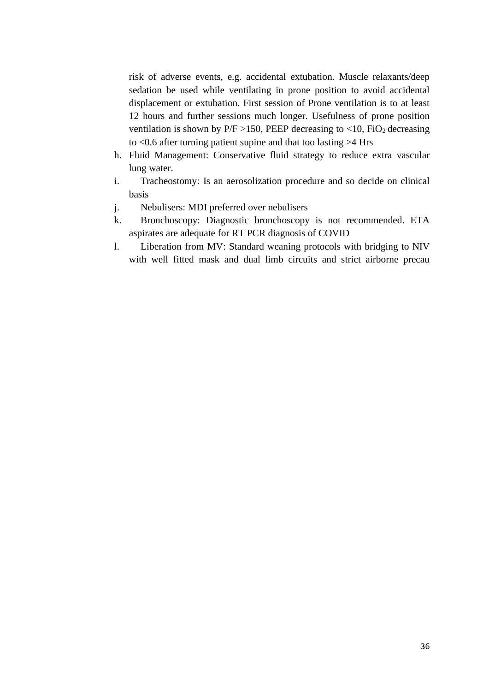risk of adverse events, e.g. accidental extubation. Muscle relaxants/deep sedation be used while ventilating in prone position to avoid accidental displacement or extubation. First session of Prone ventilation is to at least 12 hours and further sessions much longer. Usefulness of prone position ventilation is shown by  $P/F > 150$ , PEEP decreasing to <10, FiO<sub>2</sub> decreasing to <0.6 after turning patient supine and that too lasting >4 Hrs

- h. Fluid Management: Conservative fluid strategy to reduce extra vascular lung water.
- i. Tracheostomy: Is an aerosolization procedure and so decide on clinical basis
- j. Nebulisers: MDI preferred over nebulisers
- k. Bronchoscopy: Diagnostic bronchoscopy is not recommended. ETA aspirates are adequate for RT PCR diagnosis of COVID
- l. Liberation from MV: Standard weaning protocols with bridging to NIV with well fitted mask and dual limb circuits and strict airborne precau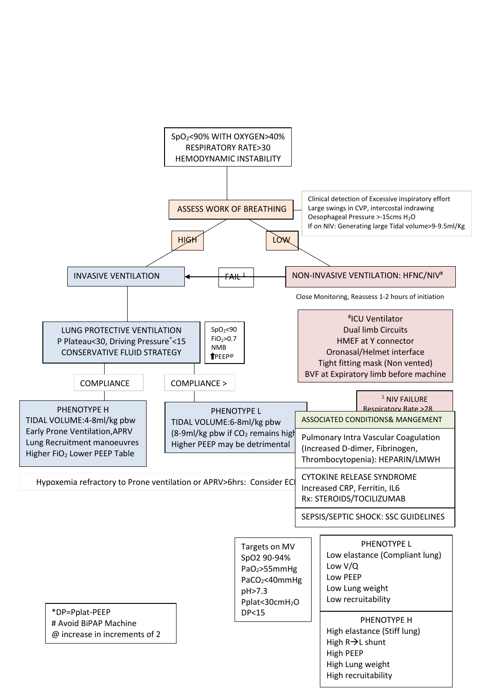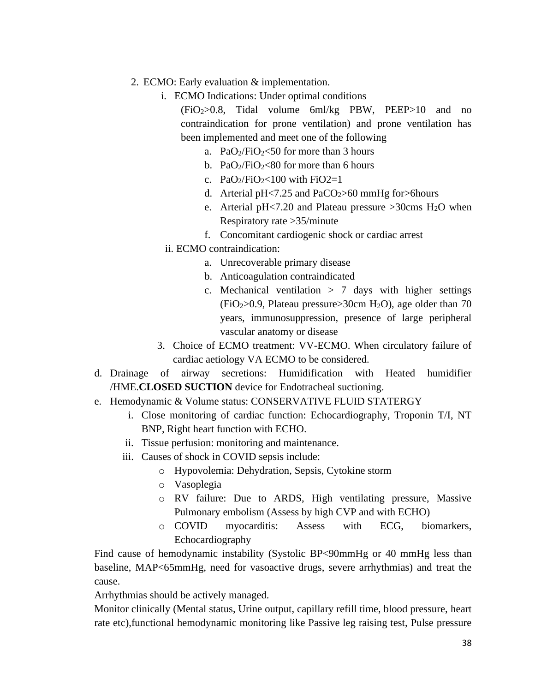- 2. ECMO: Early evaluation & implementation.
	- i. ECMO Indications: Under optimal conditions

(FiO2>0.8, Tidal volume 6ml/kg PBW, PEEP>10 and no contraindication for prone ventilation) and prone ventilation has been implemented and meet one of the following

- a. PaO $\frac{1}{2}$ FiO $\frac{1}{2}$  for more than 3 hours
- b. PaO $\frac{1}{2}$ FiO $\frac{2}{80}$  for more than 6 hours
- c. PaO $\frac{1}{2}$ FiO $\frac{1}{2}$  = 100 with FiO2=1
- d. Arterial  $pH < 7.25$  and  $PaCO<sub>2</sub> > 60$  mmHg for  $> 6$ hours
- e. Arterial pH<7.20 and Plateau pressure  $>30$ cms H<sub>2</sub>O when Respiratory rate >35/minute
- f. Concomitant cardiogenic shock or cardiac arrest
- ii. ECMO contraindication:
	- a. Unrecoverable primary disease
	- b. Anticoagulation contraindicated
	- c. Mechanical ventilation  $> 7$  days with higher settings  $(FiO<sub>2</sub>>0.9,$  Plateau pressure $>30$ cm H<sub>2</sub>O), age older than 70 years, immunosuppression, presence of large peripheral vascular anatomy or disease
- 3. Choice of ECMO treatment: VV-ECMO. When circulatory failure of cardiac aetiology VA ECMO to be considered.
- d. Drainage of airway secretions: Humidification with Heated humidifier /HME.**CLOSED SUCTION** device for Endotracheal suctioning.
- e. Hemodynamic & Volume status: CONSERVATIVE FLUID STATERGY
	- i. Close monitoring of cardiac function: Echocardiography, Troponin T/I, NT BNP, Right heart function with ECHO.
	- ii. Tissue perfusion: monitoring and maintenance.
	- iii. Causes of shock in COVID sepsis include:
		- o Hypovolemia: Dehydration, Sepsis, Cytokine storm
		- o Vasoplegia
		- o RV failure: Due to ARDS, High ventilating pressure, Massive Pulmonary embolism (Assess by high CVP and with ECHO)
		- o COVID myocarditis: Assess with ECG, biomarkers, Echocardiography

Find cause of hemodynamic instability (Systolic BP<90mmHg or 40 mmHg less than baseline, MAP<65mmHg, need for vasoactive drugs, severe arrhythmias) and treat the cause.

Arrhythmias should be actively managed.

Monitor clinically (Mental status, Urine output, capillary refill time, blood pressure, heart rate etc),functional hemodynamic monitoring like Passive leg raising test, Pulse pressure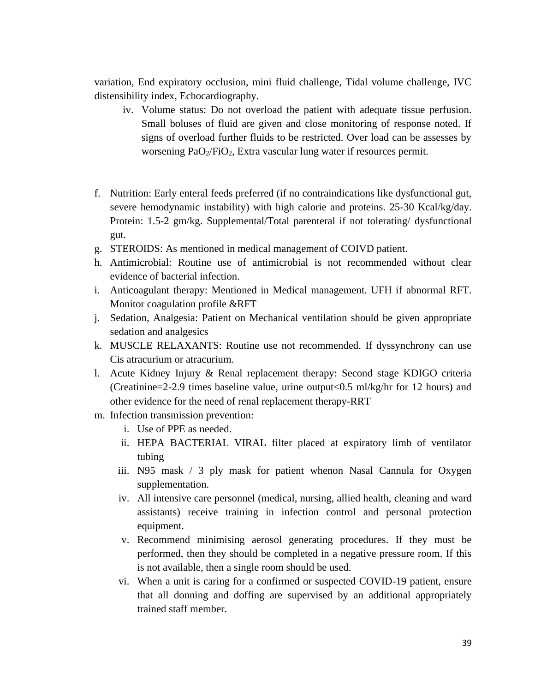variation, End expiratory occlusion, mini fluid challenge, Tidal volume challenge, IVC distensibility index, Echocardiography.

- iv. Volume status: Do not overload the patient with adequate tissue perfusion. Small boluses of fluid are given and close monitoring of response noted. If signs of overload further fluids to be restricted. Over load can be assesses by worsening PaO<sub>2</sub>/FiO<sub>2</sub>, Extra vascular lung water if resources permit.
- f. Nutrition: Early enteral feeds preferred (if no contraindications like dysfunctional gut, severe hemodynamic instability) with high calorie and proteins. 25-30 Kcal/kg/day. Protein: 1.5-2 gm/kg. Supplemental/Total parenteral if not tolerating/ dysfunctional gut.
- g. STEROIDS: As mentioned in medical management of COIVD patient.
- h. Antimicrobial: Routine use of antimicrobial is not recommended without clear evidence of bacterial infection.
- i. Anticoagulant therapy: Mentioned in Medical management. UFH if abnormal RFT. Monitor coagulation profile &RFT
- j. Sedation, Analgesia: Patient on Mechanical ventilation should be given appropriate sedation and analgesics
- k. MUSCLE RELAXANTS: Routine use not recommended. If dyssynchrony can use Cis atracurium or atracurium.
- l. Acute Kidney Injury & Renal replacement therapy: Second stage KDIGO criteria (Creatinine=2-2.9 times baseline value, urine output<0.5 ml/kg/hr for 12 hours) and other evidence for the need of renal replacement therapy-RRT
- m. Infection transmission prevention:
	- i. Use of PPE as needed.
	- ii. HEPA BACTERIAL VIRAL filter placed at expiratory limb of ventilator tubing
	- iii. N95 mask / 3 ply mask for patient whenon Nasal Cannula for Oxygen supplementation.
	- iv. All intensive care personnel (medical, nursing, allied health, cleaning and ward assistants) receive training in infection control and personal protection equipment.
	- v. Recommend minimising aerosol generating procedures. If they must be performed, then they should be completed in a negative pressure room. If this is not available, then a single room should be used.
	- vi. When a unit is caring for a confirmed or suspected COVID-19 patient, ensure that all donning and doffing are supervised by an additional appropriately trained staff member.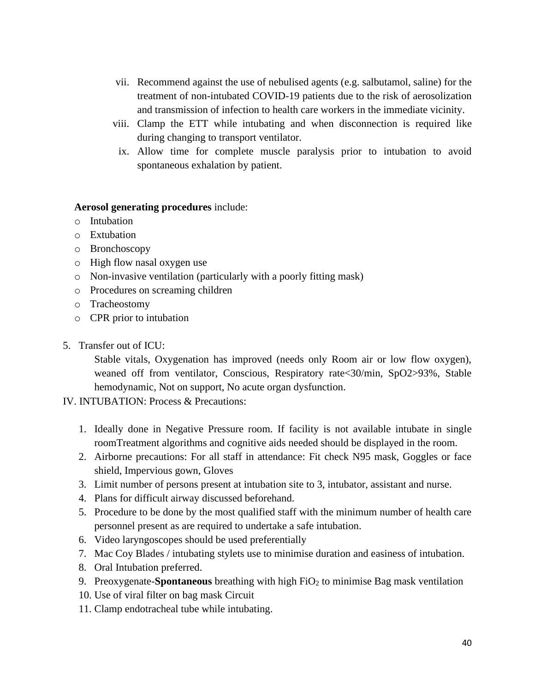- vii. Recommend against the use of nebulised agents (e.g. salbutamol, saline) for the treatment of non-intubated COVID-19 patients due to the risk of aerosolization and transmission of infection to health care workers in the immediate vicinity.
- viii. Clamp the ETT while intubating and when disconnection is required like during changing to transport ventilator.
- ix. Allow time for complete muscle paralysis prior to intubation to avoid spontaneous exhalation by patient.

#### **Aerosol generating procedures** include:

- o Intubation
- o Extubation
- o Bronchoscopy
- o High flow nasal oxygen use
- o Non-invasive ventilation (particularly with a poorly fitting mask)
- o Procedures on screaming children
- o Tracheostomy
- o CPR prior to intubation
- 5. Transfer out of ICU:

Stable vitals, Oxygenation has improved (needs only Room air or low flow oxygen), weaned off from ventilator, Conscious, Respiratory rate<30/min, SpO2>93%, Stable hemodynamic, Not on support, No acute organ dysfunction.

- IV. INTUBATION: Process & Precautions:
	- 1. Ideally done in Negative Pressure room. If facility is not available intubate in single roomTreatment algorithms and cognitive aids needed should be displayed in the room.
	- 2. Airborne precautions: For all staff in attendance: Fit check N95 mask, Goggles or face shield, Impervious gown, Gloves
	- 3. Limit number of persons present at intubation site to 3, intubator, assistant and nurse.
	- 4. Plans for difficult airway discussed beforehand.
	- 5. Procedure to be done by the most qualified staff with the minimum number of health care personnel present as are required to undertake a safe intubation.
	- 6. Video laryngoscopes should be used preferentially
	- 7. Mac Coy Blades / intubating stylets use to minimise duration and easiness of intubation.
	- 8. Oral Intubation preferred.
	- 9. Preoxygenate-**Spontaneous** breathing with high FiO<sub>2</sub> to minimise Bag mask ventilation
	- 10. Use of viral filter on bag mask Circuit
	- 11. Clamp endotracheal tube while intubating.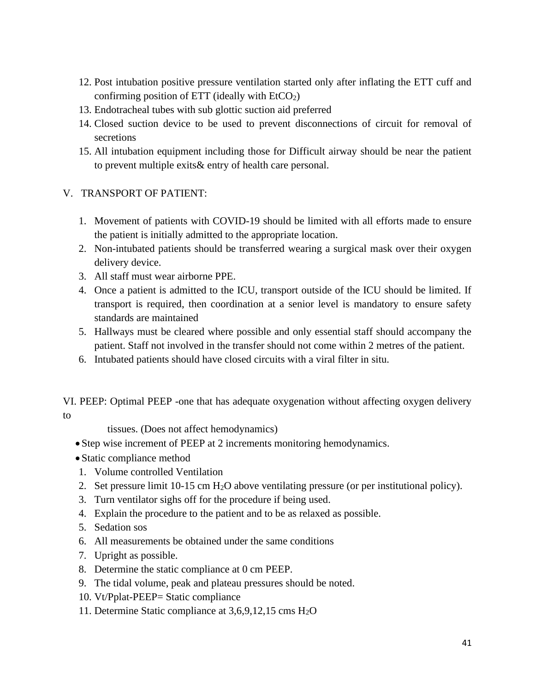- 12. Post intubation positive pressure ventilation started only after inflating the ETT cuff and confirming position of ETT (ideally with  $EtCO<sub>2</sub>$ )
- 13. Endotracheal tubes with sub glottic suction aid preferred
- 14. Closed suction device to be used to prevent disconnections of circuit for removal of secretions
- 15. All intubation equipment including those for Difficult airway should be near the patient to prevent multiple exits& entry of health care personal.
- V. TRANSPORT OF PATIENT:
	- 1. Movement of patients with COVID-19 should be limited with all efforts made to ensure the patient is initially admitted to the appropriate location.
	- 2. Non-intubated patients should be transferred wearing a surgical mask over their oxygen delivery device.
	- 3. All staff must wear airborne PPE.
	- 4. Once a patient is admitted to the ICU, transport outside of the ICU should be limited. If transport is required, then coordination at a senior level is mandatory to ensure safety standards are maintained
	- 5. Hallways must be cleared where possible and only essential staff should accompany the patient. Staff not involved in the transfer should not come within 2 metres of the patient.
	- 6. Intubated patients should have closed circuits with a viral filter in situ.

VI. PEEP: Optimal PEEP -one that has adequate oxygenation without affecting oxygen delivery to

tissues. (Does not affect hemodynamics)

- Step wise increment of PEEP at 2 increments monitoring hemodynamics.
- Static compliance method
- 1. Volume controlled Ventilation
- 2. Set pressure limit 10-15 cm H2O above ventilating pressure (or per institutional policy).
- 3. Turn ventilator sighs off for the procedure if being used.
- 4. Explain the procedure to the patient and to be as relaxed as possible.
- 5. Sedation sos
- 6. All measurements be obtained under the same conditions
- 7. Upright as possible.
- 8. Determine the static compliance at 0 cm PEEP.
- 9. The tidal volume, peak and plateau pressures should be noted.
- 10. Vt/Pplat-PEEP= Static compliance
- 11. Determine Static compliance at 3,6,9,12,15 cms H2O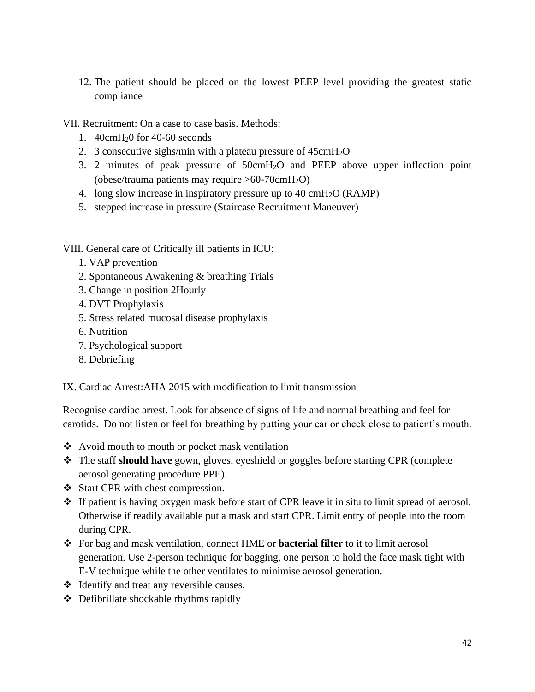12. The patient should be placed on the lowest PEEP level providing the greatest static compliance

VII. Recruitment: On a case to case basis. Methods:

- 1. 40cmH20 for 40-60 seconds
- 2. 3 consecutive sighs/min with a plateau pressure of 45cmH2O
- 3. 2 minutes of peak pressure of 50cmH2O and PEEP above upper inflection point (obese/trauma patients may require  $>60-70$ cm $H_2O$ )
- 4. long slow increase in inspiratory pressure up to 40 cmH2O (RAMP)
- 5. stepped increase in pressure (Staircase Recruitment Maneuver)

VIII. General care of Critically ill patients in ICU:

- 1. VAP prevention
- 2. Spontaneous Awakening & breathing Trials
- 3. Change in position 2Hourly
- 4. DVT Prophylaxis
- 5. Stress related mucosal disease prophylaxis
- 6. Nutrition
- 7. Psychological support
- 8. Debriefing

IX. Cardiac Arrest:AHA 2015 with modification to limit transmission

Recognise cardiac arrest. Look for absence of signs of life and normal breathing and feel for carotids. Do not listen or feel for breathing by putting your ear or cheek close to patient's mouth.

- ❖ Avoid mouth to mouth or pocket mask ventilation
- ❖ The staff **should have** gown, gloves, eyeshield or goggles before starting CPR (complete aerosol generating procedure PPE).
- ❖ Start CPR with chest compression.
- ❖ If patient is having oxygen mask before start of CPR leave it in situ to limit spread of aerosol. Otherwise if readily available put a mask and start CPR. Limit entry of people into the room during CPR.
- ❖ For bag and mask ventilation, connect HME or **bacterial filter** to it to limit aerosol generation. Use 2-person technique for bagging, one person to hold the face mask tight with E-V technique while the other ventilates to minimise aerosol generation.
- ❖ Identify and treat any reversible causes.
- ❖ Defibrillate shockable rhythms rapidly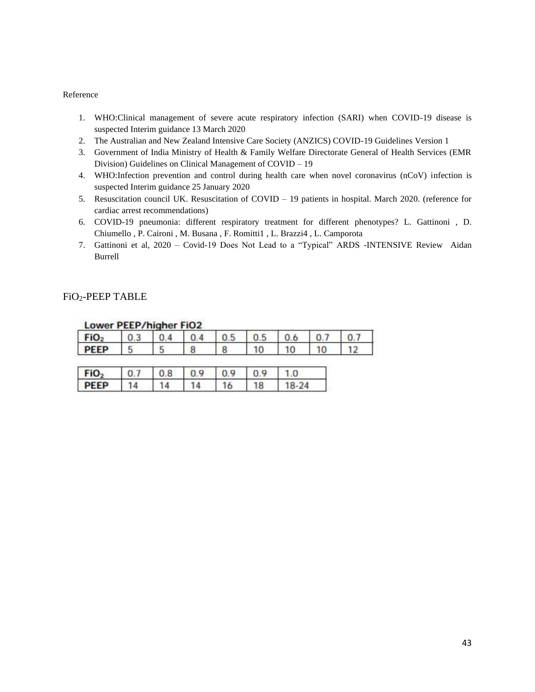#### Reference

- 1. WHO:Clinical management of severe acute respiratory infection (SARI) when COVID-19 disease is suspected Interim guidance 13 March 2020
- 2. The Australian and New Zealand Intensive Care Society (ANZICS) COVID-19 Guidelines Version 1
- 3. Government of India Ministry of Health & Family Welfare Directorate General of Health Services (EMR Division) Guidelines on Clinical Management of COVID – 19
- 4. WHO:Infection prevention and control during health care when novel coronavirus (nCoV) infection is suspected Interim guidance 25 January 2020
- 5. Resuscitation council UK. Resuscitation of COVID 19 patients in hospital. March 2020. (reference for cardiac arrest recommendations)
- 6. COVID-19 pneumonia: different respiratory treatment for different phenotypes? L. Gattinoni , D. Chiumello , P. Caironi , M. Busana , F. Romitti1 , L. Brazzi4 , L. Camporota
- 7. Gattinoni et al, 2020 Covid-19 Does Not Lead to a "Typical" ARDS -INTENSIVE Review Aidan Burrell

#### FiO2-PEEP TABLE

| Lower FLLF/ingher Floz |     |    |     |    |     |    |  |
|------------------------|-----|----|-----|----|-----|----|--|
| FiO <sub>2</sub>       | 0.4 |    | 0.5 |    | 0.6 |    |  |
| <b>PEEP</b>            | 5   | 8  | 8   | 10 | 10  | 10 |  |
| FiO <sub>2</sub>       | 0.8 |    |     |    |     |    |  |
| <b>PEEP</b>            |     | -4 | 16  | 18 |     |    |  |

#### Lower DEED/higher EiO2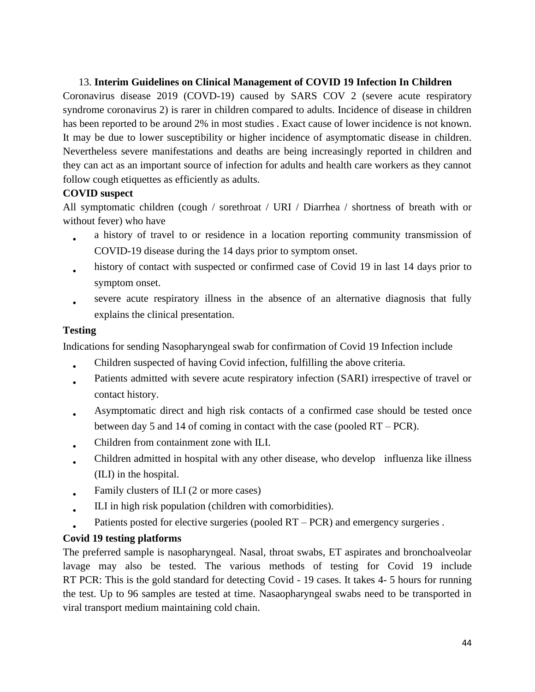### 13. **Interim Guidelines on Clinical Management of COVID 19 Infection In Children**

Coronavirus disease 2019 (COVD-19) caused by SARS COV 2 (severe acute respiratory syndrome coronavirus 2) is rarer in children compared to adults. Incidence of disease in children has been reported to be around 2% in most studies . Exact cause of lower incidence is not known. It may be due to lower susceptibility or higher incidence of asymptomatic disease in children. Nevertheless severe manifestations and deaths are being increasingly reported in children and they can act as an important source of infection for adults and health care workers as they cannot follow cough etiquettes as efficiently as adults.

### **COVID suspect**

All symptomatic children (cough / sorethroat / URI / Diarrhea / shortness of breath with or without fever) who have

- a history of travel to or residence in a location reporting community transmission of COVID-19 disease during the 14 days prior to symptom onset.
- history of contact with suspected or confirmed case of Covid 19 in last 14 days prior to symptom onset.
- severe acute respiratory illness in the absence of an alternative diagnosis that fully explains the clinical presentation.

### **Testing**

Indications for sending Nasopharyngeal swab for confirmation of Covid 19 Infection include

- Children suspected of having Covid infection, fulfilling the above criteria.
- Patients admitted with severe acute respiratory infection (SARI) irrespective of travel or contact history.
- Asymptomatic direct and high risk contacts of a confirmed case should be tested once between day 5 and 14 of coming in contact with the case (pooled RT – PCR).
- Children from containment zone with ILI.
- Children admitted in hospital with any other disease, who develop influenza like illness (ILI) in the hospital.
- Family clusters of ILI (2 or more cases)
- ILI in high risk population (children with comorbidities).
- Patients posted for elective surgeries (pooled  $RT - PCR$ ) and emergency surgeries.

### **Covid 19 testing platforms**

The preferred sample is nasopharyngeal. Nasal, throat swabs, ET aspirates and bronchoalveolar lavage may also be tested. The various methods of testing for Covid 19 include RT PCR: This is the gold standard for detecting Covid - 19 cases. It takes 4- 5 hours for running the test. Up to 96 samples are tested at time. Nasaopharyngeal swabs need to be transported in viral transport medium maintaining cold chain.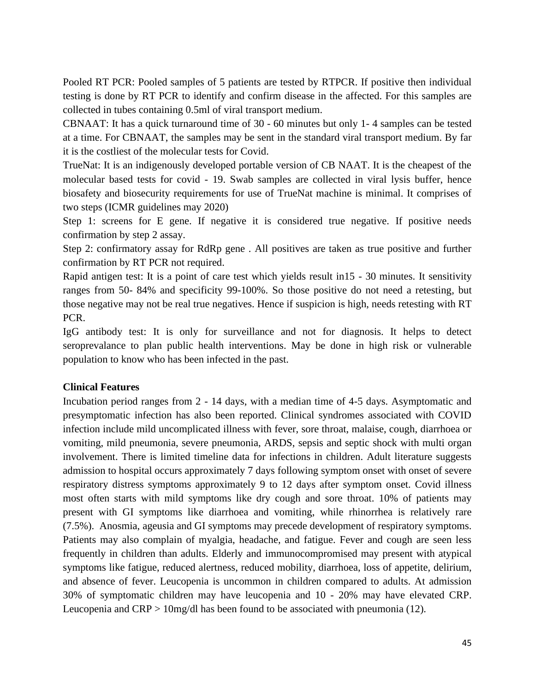Pooled RT PCR: Pooled samples of 5 patients are tested by RTPCR. If positive then individual testing is done by RT PCR to identify and confirm disease in the affected. For this samples are collected in tubes containing 0.5ml of viral transport medium.

CBNAAT: It has a quick turnaround time of 30 - 60 minutes but only 1- 4 samples can be tested at a time. For CBNAAT, the samples may be sent in the standard viral transport medium. By far it is the costliest of the molecular tests for Covid.

TrueNat: It is an indigenously developed portable version of CB NAAT. It is the cheapest of the molecular based tests for covid - 19. Swab samples are collected in viral lysis buffer, hence biosafety and biosecurity requirements for use of TrueNat machine is minimal. It comprises of two steps (ICMR guidelines may 2020)

Step 1: screens for E gene. If negative it is considered true negative. If positive needs confirmation by step 2 assay.

Step 2: confirmatory assay for RdRp gene . All positives are taken as true positive and further confirmation by RT PCR not required.

Rapid antigen test: It is a point of care test which yields result in15 - 30 minutes. It sensitivity ranges from 50- 84% and specificity 99-100%. So those positive do not need a retesting, but those negative may not be real true negatives. Hence if suspicion is high, needs retesting with RT PCR.

IgG antibody test: It is only for surveillance and not for diagnosis. It helps to detect seroprevalance to plan public health interventions. May be done in high risk or vulnerable population to know who has been infected in the past.

### **Clinical Features**

Incubation period ranges from 2 - 14 days, with a median time of 4-5 days. Asymptomatic and presymptomatic infection has also been reported. Clinical syndromes associated with COVID infection include mild uncomplicated illness with fever, sore throat, malaise, cough, diarrhoea or vomiting, mild pneumonia, severe pneumonia, ARDS, sepsis and septic shock with multi organ involvement. There is limited timeline data for infections in children. Adult literature suggests admission to hospital occurs approximately 7 days following symptom onset with onset of severe respiratory distress symptoms approximately 9 to 12 days after symptom onset. Covid illness most often starts with mild symptoms like dry cough and sore throat. 10% of patients may present with GI symptoms like diarrhoea and vomiting, while rhinorrhea is relatively rare (7.5%). Anosmia, ageusia and GI symptoms may precede development of respiratory symptoms. Patients may also complain of myalgia, headache, and fatigue. Fever and cough are seen less frequently in children than adults. Elderly and immunocompromised may present with atypical symptoms like fatigue, reduced alertness, reduced mobility, diarrhoea, loss of appetite, delirium, and absence of fever. Leucopenia is uncommon in children compared to adults. At admission 30% of symptomatic children may have leucopenia and 10 - 20% may have elevated CRP. Leucopenia and CRP > 10mg/dl has been found to be associated with pneumonia (12).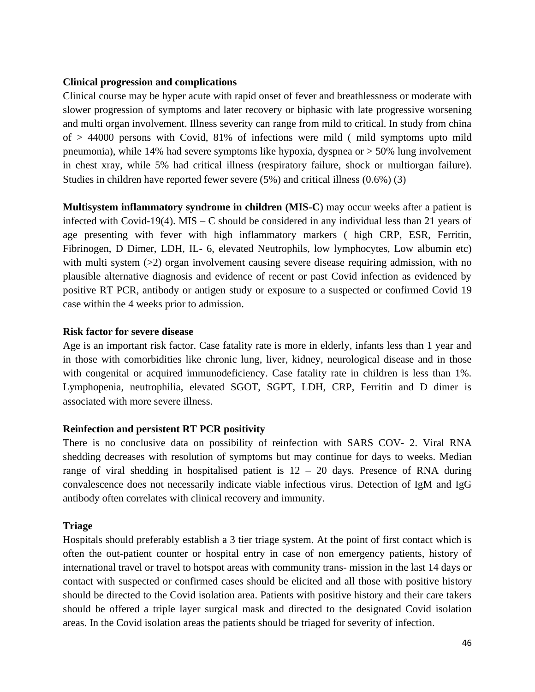#### **Clinical progression and complications**

Clinical course may be hyper acute with rapid onset of fever and breathlessness or moderate with slower progression of symptoms and later recovery or biphasic with late progressive worsening and multi organ involvement. Illness severity can range from mild to critical. In study from china of > 44000 persons with Covid, 81% of infections were mild ( mild symptoms upto mild pneumonia), while 14% had severe symptoms like hypoxia, dyspnea or > 50% lung involvement in chest xray, while 5% had critical illness (respiratory failure, shock or multiorgan failure). Studies in children have reported fewer severe (5%) and critical illness (0.6%) (3)

**Multisystem inflammatory syndrome in children (MIS-C**) may occur weeks after a patient is infected with Covid-19(4). MIS – C should be considered in any individual less than 21 years of age presenting with fever with high inflammatory markers ( high CRP, ESR, Ferritin, Fibrinogen, D Dimer, LDH, IL- 6, elevated Neutrophils, low lymphocytes, Low albumin etc) with multi system  $(>=2)$  organ involvement causing severe disease requiring admission, with no plausible alternative diagnosis and evidence of recent or past Covid infection as evidenced by positive RT PCR, antibody or antigen study or exposure to a suspected or confirmed Covid 19 case within the 4 weeks prior to admission.

#### **Risk factor for severe disease**

Age is an important risk factor. Case fatality rate is more in elderly, infants less than 1 year and in those with comorbidities like chronic lung, liver, kidney, neurological disease and in those with congenital or acquired immunodeficiency. Case fatality rate in children is less than 1%. Lymphopenia, neutrophilia, elevated SGOT, SGPT, LDH, CRP, Ferritin and D dimer is associated with more severe illness.

### **Reinfection and persistent RT PCR positivity**

There is no conclusive data on possibility of reinfection with SARS COV- 2. Viral RNA shedding decreases with resolution of symptoms but may continue for days to weeks. Median range of viral shedding in hospitalised patient is  $12 - 20$  days. Presence of RNA during convalescence does not necessarily indicate viable infectious virus. Detection of IgM and IgG antibody often correlates with clinical recovery and immunity.

#### **Triage**

Hospitals should preferably establish a 3 tier triage system. At the point of first contact which is often the out-patient counter or hospital entry in case of non emergency patients, history of international travel or travel to hotspot areas with community trans- mission in the last 14 days or contact with suspected or confirmed cases should be elicited and all those with positive history should be directed to the Covid isolation area. Patients with positive history and their care takers should be offered a triple layer surgical mask and directed to the designated Covid isolation areas. In the Covid isolation areas the patients should be triaged for severity of infection.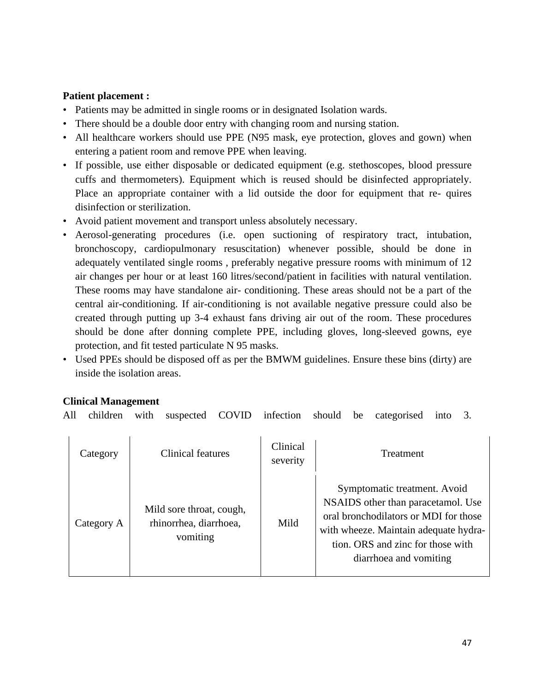### **Patient placement :**

- Patients may be admitted in single rooms or in designated Isolation wards.
- There should be a double door entry with changing room and nursing station.
- All healthcare workers should use PPE (N95 mask, eye protection, gloves and gown) when entering a patient room and remove PPE when leaving.
- If possible, use either disposable or dedicated equipment (e.g. stethoscopes, blood pressure cuffs and thermometers). Equipment which is reused should be disinfected appropriately. Place an appropriate container with a lid outside the door for equipment that re- quires disinfection or sterilization.
- Avoid patient movement and transport unless absolutely necessary.
- Aerosol-generating procedures (i.e. open suctioning of respiratory tract, intubation, bronchoscopy, cardiopulmonary resuscitation) whenever possible, should be done in adequately ventilated single rooms , preferably negative pressure rooms with minimum of 12 air changes per hour or at least 160 litres/second/patient in facilities with natural ventilation. These rooms may have standalone air- conditioning. These areas should not be a part of the central air-conditioning. If air-conditioning is not available negative pressure could also be created through putting up 3-4 exhaust fans driving air out of the room. These procedures should be done after donning complete PPE, including gloves, long-sleeved gowns, eye protection, and fit tested particulate N 95 masks.
- Used PPEs should be disposed off as per the BMWM guidelines. Ensure these bins (dirty) are inside the isolation areas.

### **Clinical Management**

All children with suspected COVID infection should be categorised into 3.

| Category   | Clinical features                                              | Clinical<br>severity | <b>Treatment</b>                                                                                                                                                                                                    |
|------------|----------------------------------------------------------------|----------------------|---------------------------------------------------------------------------------------------------------------------------------------------------------------------------------------------------------------------|
| Category A | Mild sore throat, cough,<br>rhinorrhea, diarrhoea,<br>vomiting | Mild                 | Symptomatic treatment. Avoid<br>NSAIDS other than paracetamol. Use<br>oral bronchodilators or MDI for those<br>with wheeze. Maintain adequate hydra-<br>tion. ORS and zinc for those with<br>diarrhoea and vomiting |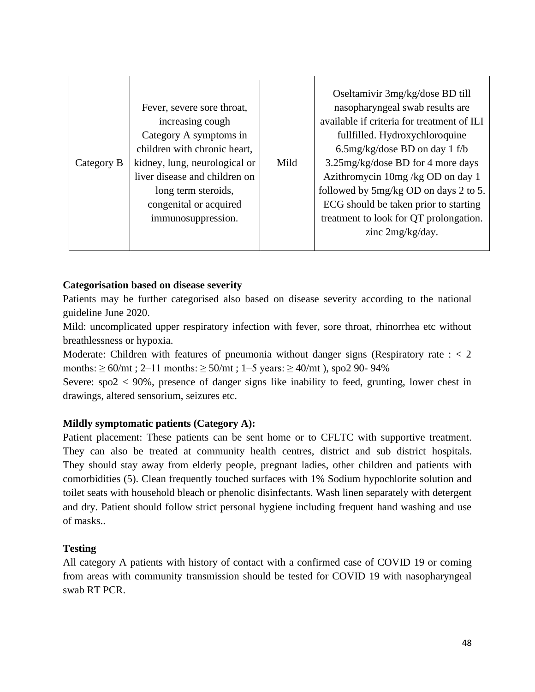| Category B | Fever, severe sore throat,<br>increasing cough<br>Category A symptoms in<br>children with chronic heart,<br>kidney, lung, neurological or<br>liver disease and children on<br>long term steroids,<br>congenital or acquired<br>immunosuppression. | Mild | Oseltamivir 3mg/kg/dose BD till<br>nasopharyngeal swab results are<br>available if criteria for treatment of ILI<br>fullfilled. Hydroxychloroquine<br>6.5mg/kg/dose BD on day 1 f/b<br>3.25mg/kg/dose BD for 4 more days<br>Azithromycin 10mg /kg OD on day 1<br>followed by 5mg/kg OD on days 2 to 5.<br>ECG should be taken prior to starting<br>treatment to look for QT prolongation.<br>zinc 2mg/kg/day. |
|------------|---------------------------------------------------------------------------------------------------------------------------------------------------------------------------------------------------------------------------------------------------|------|---------------------------------------------------------------------------------------------------------------------------------------------------------------------------------------------------------------------------------------------------------------------------------------------------------------------------------------------------------------------------------------------------------------|
|------------|---------------------------------------------------------------------------------------------------------------------------------------------------------------------------------------------------------------------------------------------------|------|---------------------------------------------------------------------------------------------------------------------------------------------------------------------------------------------------------------------------------------------------------------------------------------------------------------------------------------------------------------------------------------------------------------|

#### **Categorisation based on disease severity**

Patients may be further categorised also based on disease severity according to the national guideline June 2020.

Mild: uncomplicated upper respiratory infection with fever, sore throat, rhinorrhea etc without breathlessness or hypoxia.

Moderate: Children with features of pneumonia without danger signs (Respiratory rate  $\epsilon$  < 2 months:  $\geq 60$ /mt; 2–11 months:  $\geq 50$ /mt; 1–5 years:  $\geq 40$ /mt), spo2 90-94%

Severe:  $\text{spo2} < 90\%$ , presence of danger signs like inability to feed, grunting, lower chest in drawings, altered sensorium, seizures etc.

#### **Mildly symptomatic patients (Category A):**

Patient placement: These patients can be sent home or to CFLTC with supportive treatment. They can also be treated at community health centres, district and sub district hospitals. They should stay away from elderly people, pregnant ladies, other children and patients with comorbidities (5). Clean frequently touched surfaces with 1% Sodium hypochlorite solution and toilet seats with household bleach or phenolic disinfectants. Wash linen separately with detergent and dry. Patient should follow strict personal hygiene including frequent hand washing and use of masks..

#### **Testing**

All category A patients with history of contact with a confirmed case of COVID 19 or coming from areas with community transmission should be tested for COVID 19 with nasopharyngeal swab RT PCR.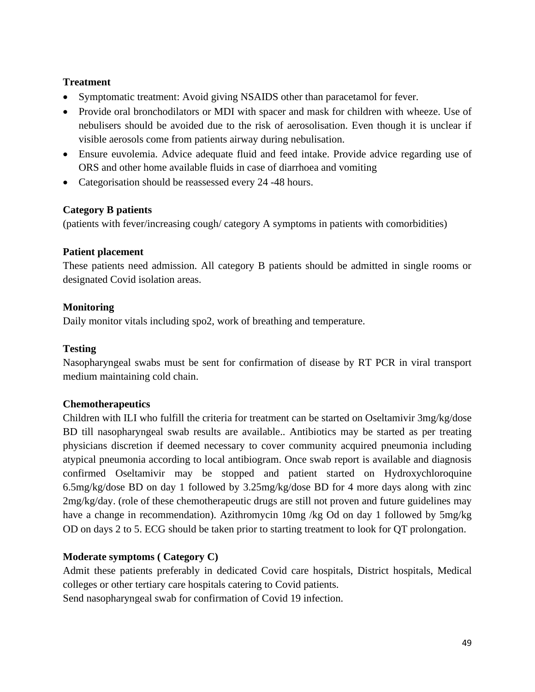### **Treatment**

- Symptomatic treatment: Avoid giving NSAIDS other than paracetamol for fever.
- Provide oral bronchodilators or MDI with spacer and mask for children with wheeze. Use of nebulisers should be avoided due to the risk of aerosolisation. Even though it is unclear if visible aerosols come from patients airway during nebulisation.
- Ensure euvolemia. Advice adequate fluid and feed intake. Provide advice regarding use of ORS and other home available fluids in case of diarrhoea and vomiting
- Categorisation should be reassessed every 24 -48 hours.

### **Category B patients**

(patients with fever/increasing cough/ category A symptoms in patients with comorbidities)

### **Patient placement**

These patients need admission. All category B patients should be admitted in single rooms or designated Covid isolation areas.

### **Monitoring**

Daily monitor vitals including spo2, work of breathing and temperature.

### **Testing**

Nasopharyngeal swabs must be sent for confirmation of disease by RT PCR in viral transport medium maintaining cold chain.

### **Chemotherapeutics**

Children with ILI who fulfill the criteria for treatment can be started on Oseltamivir 3mg/kg/dose BD till nasopharyngeal swab results are available.. Antibiotics may be started as per treating physicians discretion if deemed necessary to cover community acquired pneumonia including atypical pneumonia according to local antibiogram. Once swab report is available and diagnosis confirmed Oseltamivir may be stopped and patient started on Hydroxychloroquine 6.5mg/kg/dose BD on day 1 followed by 3.25mg/kg/dose BD for 4 more days along with zinc 2mg/kg/day. (role of these chemotherapeutic drugs are still not proven and future guidelines may have a change in recommendation). Azithromycin 10mg /kg Od on day 1 followed by 5mg/kg OD on days 2 to 5. ECG should be taken prior to starting treatment to look for QT prolongation.

### **Moderate symptoms ( Category C)**

Admit these patients preferably in dedicated Covid care hospitals, District hospitals, Medical colleges or other tertiary care hospitals catering to Covid patients.

Send nasopharyngeal swab for confirmation of Covid 19 infection.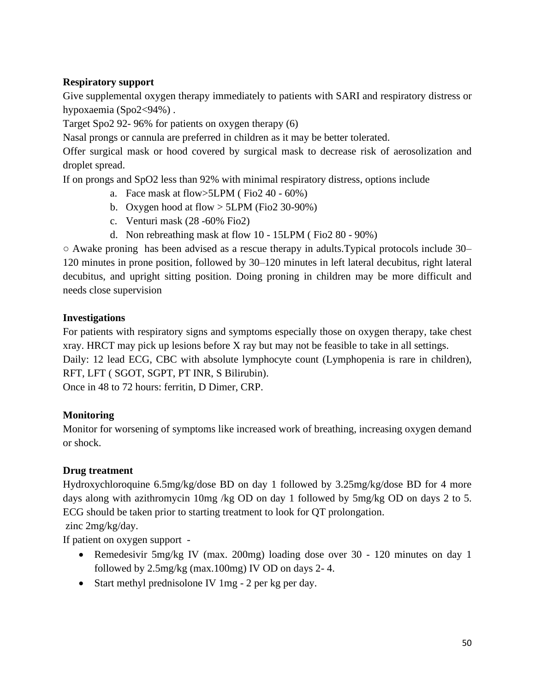### **Respiratory support**

Give supplemental oxygen therapy immediately to patients with SARI and respiratory distress or hypoxaemia (Spo2<94%).

Target Spo2 92- 96% for patients on oxygen therapy (6)

Nasal prongs or cannula are preferred in children as it may be better tolerated.

Offer surgical mask or hood covered by surgical mask to decrease risk of aerosolization and droplet spread.

If on prongs and SpO2 less than 92% with minimal respiratory distress, options include

- a. Face mask at flow $>5LPM$  (Fio2 40 60%)
- b. Oxygen hood at flow  $>$  5LPM (Fio2 30-90%)
- c. Venturi mask (28 -60% Fio2)
- d. Non rebreathing mask at flow 10 15LPM ( Fio2 80 90%)

○ Awake proning has been advised as a rescue therapy in adults.Typical protocols include 30– 120 minutes in prone position, followed by 30–120 minutes in left lateral decubitus, right lateral decubitus, and upright sitting position. Doing proning in children may be more difficult and needs close supervision

### **Investigations**

For patients with respiratory signs and symptoms especially those on oxygen therapy, take chest xray. HRCT may pick up lesions before X ray but may not be feasible to take in all settings.

Daily: 12 lead ECG, CBC with absolute lymphocyte count (Lymphopenia is rare in children), RFT, LFT ( SGOT, SGPT, PT INR, S Bilirubin).

Once in 48 to 72 hours: ferritin, D Dimer, CRP.

### **Monitoring**

Monitor for worsening of symptoms like increased work of breathing, increasing oxygen demand or shock.

### **Drug treatment**

Hydroxychloroquine 6.5mg/kg/dose BD on day 1 followed by 3.25mg/kg/dose BD for 4 more days along with azithromycin 10mg /kg OD on day 1 followed by 5mg/kg OD on days 2 to 5. ECG should be taken prior to starting treatment to look for QT prolongation.

zinc 2mg/kg/day.

If patient on oxygen support -

- Remedesivir 5mg/kg IV (max. 200mg) loading dose over 30 120 minutes on day 1 followed by 2.5mg/kg (max.100mg) IV OD on days 2- 4.
- Start methyl prednisolone IV 1mg 2 per kg per day.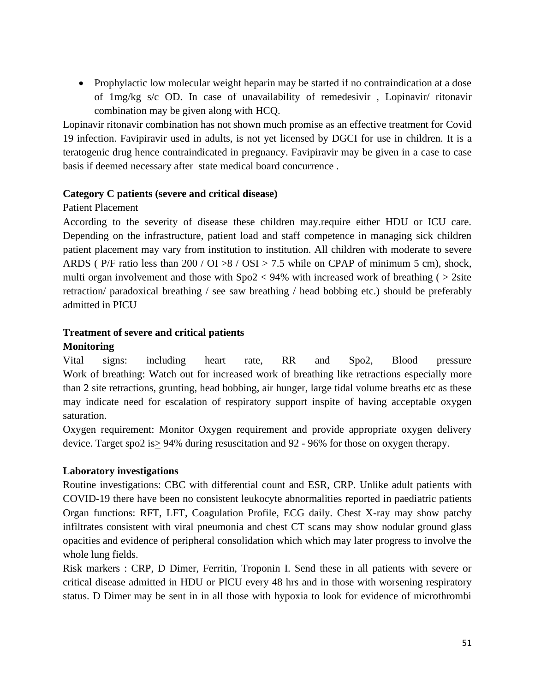• Prophylactic low molecular weight heparin may be started if no contraindication at a dose of 1mg/kg s/c OD. In case of unavailability of remedesivir , Lopinavir/ ritonavir combination may be given along with HCQ.

Lopinavir ritonavir combination has not shown much promise as an effective treatment for Covid 19 infection. Favipiravir used in adults, is not yet licensed by DGCI for use in children. It is a teratogenic drug hence contraindicated in pregnancy. Favipiravir may be given in a case to case basis if deemed necessary after state medical board concurrence .

#### **Category C patients (severe and critical disease)**

#### Patient Placement

According to the severity of disease these children may.require either HDU or ICU care. Depending on the infrastructure, patient load and staff competence in managing sick children patient placement may vary from institution to institution. All children with moderate to severe ARDS (P/F ratio less than 200 / OI >8 / OSI > 7.5 while on CPAP of minimum 5 cm), shock, multi organ involvement and those with  $Spo2 < 94\%$  with increased work of breathing ( $> 2$ site retraction/ paradoxical breathing / see saw breathing / head bobbing etc.) should be preferably admitted in PICU

### **Treatment of severe and critical patients**

### **Monitoring**

Vital signs: including heart rate, RR and Spo2, Blood pressure Work of breathing: Watch out for increased work of breathing like retractions especially more than 2 site retractions, grunting, head bobbing, air hunger, large tidal volume breaths etc as these may indicate need for escalation of respiratory support inspite of having acceptable oxygen saturation.

Oxygen requirement: Monitor Oxygen requirement and provide appropriate oxygen delivery device. Target spo2 is  $\geq$  94% during resuscitation and 92 - 96% for those on oxygen therapy.

### **Laboratory investigations**

Routine investigations: CBC with differential count and ESR, CRP. Unlike adult patients with COVID-19 there have been no consistent leukocyte abnormalities reported in paediatric patients Organ functions: RFT, LFT, Coagulation Profile, ECG daily. Chest X-ray may show patchy infiltrates consistent with viral pneumonia and chest CT scans may show nodular ground glass opacities and evidence of peripheral consolidation which which may later progress to involve the whole lung fields.

Risk markers : CRP, D Dimer, Ferritin, Troponin I. Send these in all patients with severe or critical disease admitted in HDU or PICU every 48 hrs and in those with worsening respiratory status. D Dimer may be sent in in all those with hypoxia to look for evidence of microthrombi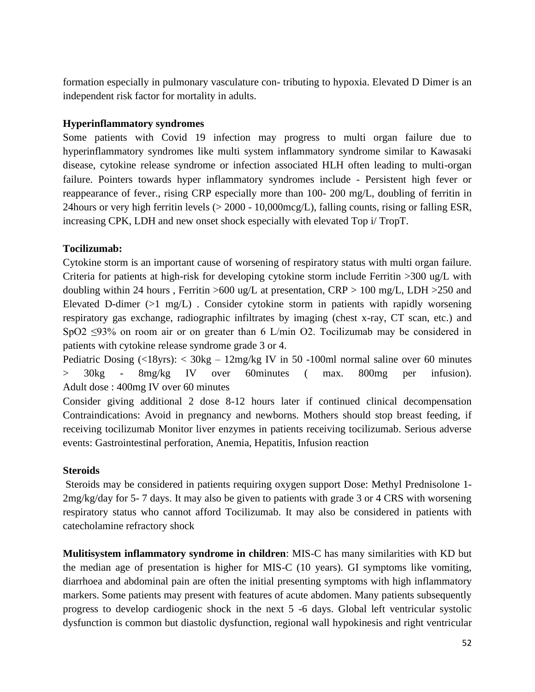formation especially in pulmonary vasculature con- tributing to hypoxia. Elevated D Dimer is an independent risk factor for mortality in adults.

### **Hyperinflammatory syndromes**

Some patients with Covid 19 infection may progress to multi organ failure due to hyperinflammatory syndromes like multi system inflammatory syndrome similar to Kawasaki disease, cytokine release syndrome or infection associated HLH often leading to multi-organ failure. Pointers towards hyper inflammatory syndromes include - Persistent high fever or reappearance of fever., rising CRP especially more than 100- 200 mg/L, doubling of ferritin in 24hours or very high ferritin levels (> 2000 - 10,000mcg/L), falling counts, rising or falling ESR, increasing CPK, LDH and new onset shock especially with elevated Top i/ TropT.

#### **Tocilizumab:**

Cytokine storm is an important cause of worsening of respiratory status with multi organ failure. Criteria for patients at high-risk for developing cytokine storm include Ferritin >300 ug/L with doubling within 24 hours, Ferritin  $>600$  ug/L at presentation, CRP  $> 100$  mg/L, LDH  $>250$  and Elevated D-dimer  $(>1 \text{ mg/L})$ . Consider cytokine storm in patients with rapidly worsening respiratory gas exchange, radiographic infiltrates by imaging (chest x-ray, CT scan, etc.) and SpO2 ≤93% on room air or on greater than 6 L/min O2. Tocilizumab may be considered in patients with cytokine release syndrome grade 3 or 4.

Pediatric Dosing (<18yrs): < 30kg – 12mg/kg IV in 50 -100ml normal saline over 60 minutes > 30kg - 8mg/kg IV over 60minutes ( max. 800mg per infusion). Adult dose : 400mg IV over 60 minutes

Consider giving additional 2 dose 8-12 hours later if continued clinical decompensation Contraindications: Avoid in pregnancy and newborns. Mothers should stop breast feeding, if receiving tocilizumab Monitor liver enzymes in patients receiving tocilizumab. Serious adverse events: Gastrointestinal perforation, Anemia, Hepatitis, Infusion reaction

#### **Steroids**

Steroids may be considered in patients requiring oxygen support Dose: Methyl Prednisolone 1- 2mg/kg/day for 5- 7 days. It may also be given to patients with grade 3 or 4 CRS with worsening respiratory status who cannot afford Tocilizumab. It may also be considered in patients with catecholamine refractory shock

**Mulitisystem inflammatory syndrome in children**: MIS-C has many similarities with KD but the median age of presentation is higher for MIS-C (10 years). GI symptoms like vomiting, diarrhoea and abdominal pain are often the initial presenting symptoms with high inflammatory markers. Some patients may present with features of acute abdomen. Many patients subsequently progress to develop cardiogenic shock in the next 5 -6 days. Global left ventricular systolic dysfunction is common but diastolic dysfunction, regional wall hypokinesis and right ventricular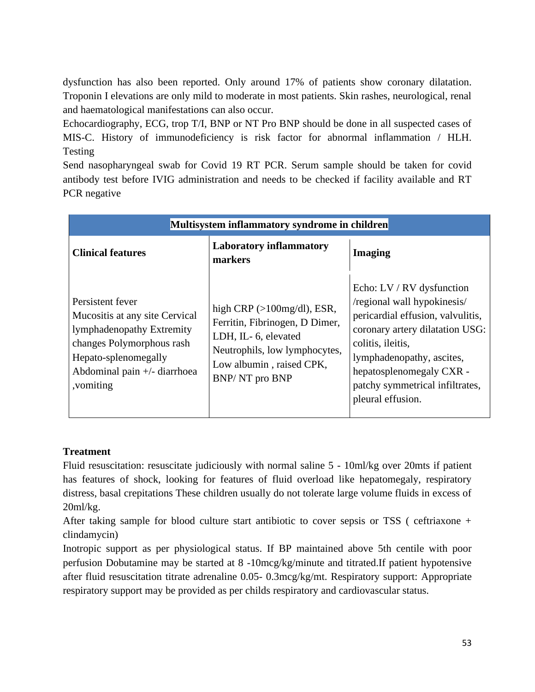dysfunction has also been reported. Only around 17% of patients show coronary dilatation. Troponin I elevations are only mild to moderate in most patients. Skin rashes, neurological, renal and haematological manifestations can also occur.

Echocardiography, ECG, trop T/I, BNP or NT Pro BNP should be done in all suspected cases of MIS-C. History of immunodeficiency is risk factor for abnormal inflammation / HLH. Testing

Send nasopharyngeal swab for Covid 19 RT PCR. Serum sample should be taken for covid antibody test before IVIG administration and needs to be checked if facility available and RT PCR negative

| Multisystem inflammatory syndrome in children                                                                                                                                        |                                                                                                                                                                           |                                                                                                                                                                                                                                                                        |  |
|--------------------------------------------------------------------------------------------------------------------------------------------------------------------------------------|---------------------------------------------------------------------------------------------------------------------------------------------------------------------------|------------------------------------------------------------------------------------------------------------------------------------------------------------------------------------------------------------------------------------------------------------------------|--|
| <b>Clinical features</b>                                                                                                                                                             | <b>Laboratory inflammatory</b><br>markers                                                                                                                                 | <b>Imaging</b>                                                                                                                                                                                                                                                         |  |
| Persistent fever<br>Mucositis at any site Cervical<br>lymphadenopathy Extremity<br>changes Polymorphous rash<br>Hepato-splenomegally<br>Abdominal pain $+/-$ diarrhoea<br>, vomiting | high $CRP$ ( $>100$ mg/dl), ESR,<br>Ferritin, Fibrinogen, D Dimer,<br>LDH, IL- 6, elevated<br>Neutrophils, low lymphocytes,<br>Low albumin, raised CPK,<br>BNP/NT pro BNP | Echo: LV / RV dysfunction<br>/regional wall hypokinesis/<br>pericardial effusion, valvulitis,<br>coronary artery dilatation USG:<br>colitis, ileitis,<br>lymphadenopathy, ascites,<br>hepatosplenomegaly CXR -<br>patchy symmetrical infiltrates,<br>pleural effusion. |  |

### **Treatment**

Fluid resuscitation: resuscitate judiciously with normal saline 5 - 10ml/kg over 20mts if patient has features of shock, looking for features of fluid overload like hepatomegaly, respiratory distress, basal crepitations These children usually do not tolerate large volume fluids in excess of 20ml/kg.

After taking sample for blood culture start antibiotic to cover sepsis or TSS ( ceftriaxone + clindamycin)

Inotropic support as per physiological status. If BP maintained above 5th centile with poor perfusion Dobutamine may be started at 8 -10mcg/kg/minute and titrated.If patient hypotensive after fluid resuscitation titrate adrenaline 0.05- 0.3mcg/kg/mt. Respiratory support: Appropriate respiratory support may be provided as per childs respiratory and cardiovascular status.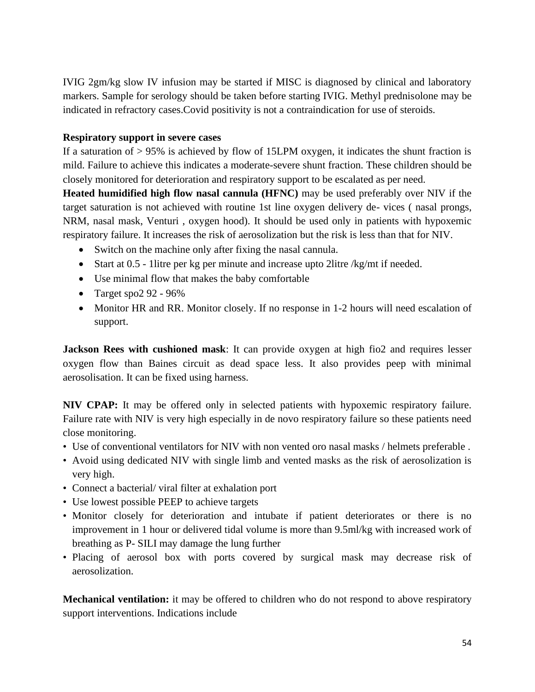IVIG 2gm/kg slow IV infusion may be started if MISC is diagnosed by clinical and laboratory markers. Sample for serology should be taken before starting IVIG. Methyl prednisolone may be indicated in refractory cases.Covid positivity is not a contraindication for use of steroids.

### **Respiratory support in severe cases**

If a saturation of > 95% is achieved by flow of 15LPM oxygen, it indicates the shunt fraction is mild. Failure to achieve this indicates a moderate-severe shunt fraction. These children should be closely monitored for deterioration and respiratory support to be escalated as per need.

**Heated humidified high flow nasal cannula (HFNC)** may be used preferably over NIV if the target saturation is not achieved with routine 1st line oxygen delivery de- vices ( nasal prongs, NRM, nasal mask, Venturi , oxygen hood). It should be used only in patients with hypoxemic respiratory failure. It increases the risk of aerosolization but the risk is less than that for NIV.

- Switch on the machine only after fixing the nasal cannula.
- Start at 0.5 1 litre per kg per minute and increase upto 2 litre /kg/mt if needed.
- Use minimal flow that makes the baby comfortable
- Target spo2  $92 96\%$
- Monitor HR and RR. Monitor closely. If no response in 1-2 hours will need escalation of support.

**Jackson Rees with cushioned mask**: It can provide oxygen at high fio2 and requires lesser oxygen flow than Baines circuit as dead space less. It also provides peep with minimal aerosolisation. It can be fixed using harness.

**NIV CPAP:** It may be offered only in selected patients with hypoxemic respiratory failure. Failure rate with NIV is very high especially in de novo respiratory failure so these patients need close monitoring.

- Use of conventional ventilators for NIV with non vented oro nasal masks / helmets preferable .
- Avoid using dedicated NIV with single limb and vented masks as the risk of aerosolization is very high.
- Connect a bacterial/ viral filter at exhalation port
- Use lowest possible PEEP to achieve targets
- Monitor closely for deterioration and intubate if patient deteriorates or there is no improvement in 1 hour or delivered tidal volume is more than 9.5ml/kg with increased work of breathing as P- SILI may damage the lung further
- Placing of aerosol box with ports covered by surgical mask may decrease risk of aerosolization.

**Mechanical ventilation:** it may be offered to children who do not respond to above respiratory support interventions. Indications include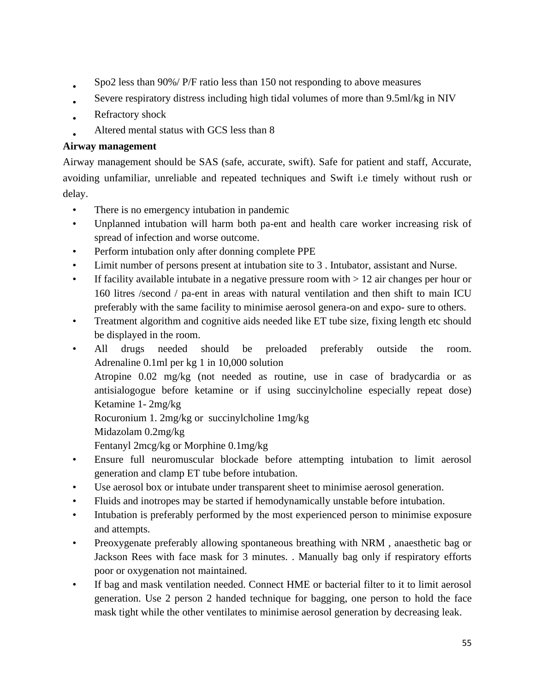- Spo2 less than 90%/ P/F ratio less than 150 not responding to above measures
- Severe respiratory distress including high tidal volumes of more than 9.5ml/kg in NIV
- Refractory shock
- Altered mental status with GCS less than 8

### **Airway management**

Airway management should be SAS (safe, accurate, swift). Safe for patient and staff, Accurate, avoiding unfamiliar, unreliable and repeated techniques and Swift i.e timely without rush or delay.

- There is no emergency intubation in pandemic
- Unplanned intubation will harm both pa-ent and health care worker increasing risk of spread of infection and worse outcome.
- Perform intubation only after donning complete PPE
- Limit number of persons present at intubation site to 3 . Intubator, assistant and Nurse.
- If facility available intubate in a negative pressure room with  $> 12$  air changes per hour or 160 litres /second / pa-ent in areas with natural ventilation and then shift to main ICU preferably with the same facility to minimise aerosol genera-on and expo- sure to others.
- Treatment algorithm and cognitive aids needed like ET tube size, fixing length etc should be displayed in the room.
- All drugs needed should be preloaded preferably outside the room. Adrenaline 0.1ml per kg 1 in 10,000 solution Atropine 0.02 mg/kg (not needed as routine, use in case of bradycardia or as antisialogogue before ketamine or if using succinylcholine especially repeat dose) Ketamine 1- 2mg/kg Rocuronium 1. 2mg/kg or succinylcholine 1mg/kg
	- Midazolam 0.2mg/kg

Fentanyl 2mcg/kg or Morphine 0.1mg/kg

- Ensure full neuromuscular blockade before attempting intubation to limit aerosol generation and clamp ET tube before intubation.
- Use aerosol box or intubate under transparent sheet to minimise aerosol generation.
- Fluids and inotropes may be started if hemodynamically unstable before intubation.
- Intubation is preferably performed by the most experienced person to minimise exposure and attempts.
- Preoxygenate preferably allowing spontaneous breathing with NRM , anaesthetic bag or Jackson Rees with face mask for 3 minutes. . Manually bag only if respiratory efforts poor or oxygenation not maintained.
- If bag and mask ventilation needed. Connect HME or bacterial filter to it to limit aerosol generation. Use 2 person 2 handed technique for bagging, one person to hold the face mask tight while the other ventilates to minimise aerosol generation by decreasing leak.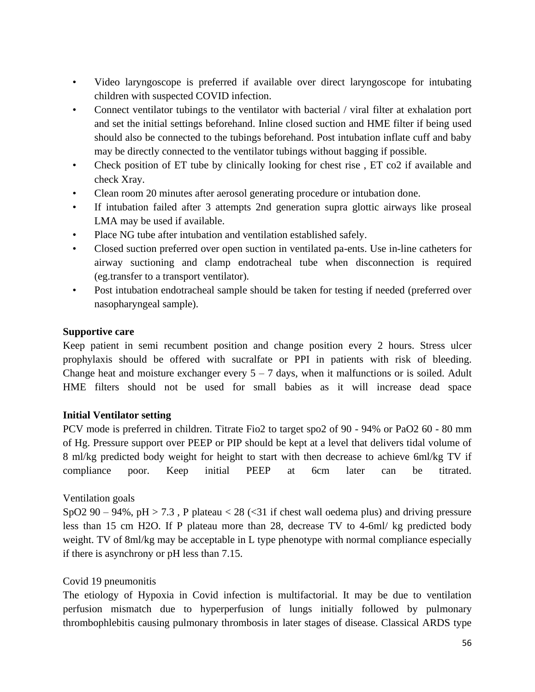- Video laryngoscope is preferred if available over direct laryngoscope for intubating children with suspected COVID infection.
- Connect ventilator tubings to the ventilator with bacterial / viral filter at exhalation port and set the initial settings beforehand. Inline closed suction and HME filter if being used should also be connected to the tubings beforehand. Post intubation inflate cuff and baby may be directly connected to the ventilator tubings without bagging if possible.
- Check position of ET tube by clinically looking for chest rise, ET co2 if available and check Xray.
- Clean room 20 minutes after aerosol generating procedure or intubation done.
- If intubation failed after 3 attempts 2nd generation supra glottic airways like proseal LMA may be used if available.
- Place NG tube after intubation and ventilation established safely.
- Closed suction preferred over open suction in ventilated pa-ents. Use in-line catheters for airway suctioning and clamp endotracheal tube when disconnection is required (eg.transfer to a transport ventilator).
- Post intubation endotracheal sample should be taken for testing if needed (preferred over nasopharyngeal sample).

### **Supportive care**

Keep patient in semi recumbent position and change position every 2 hours. Stress ulcer prophylaxis should be offered with sucralfate or PPI in patients with risk of bleeding. Change heat and moisture exchanger every  $5 - 7$  days, when it malfunctions or is soiled. Adult HME filters should not be used for small babies as it will increase dead space

### **Initial Ventilator setting**

PCV mode is preferred in children. Titrate Fio2 to target spo2 of 90 - 94% or PaO2 60 - 80 mm of Hg. Pressure support over PEEP or PIP should be kept at a level that delivers tidal volume of 8 ml/kg predicted body weight for height to start with then decrease to achieve 6ml/kg TV if compliance poor. Keep initial PEEP at 6cm later can be titrated.

### Ventilation goals

SpO2 90 – 94%, pH > 7.3, P plateau < 28 (< 31 if chest wall oedema plus) and driving pressure less than 15 cm H2O. If P plateau more than 28, decrease TV to 4-6ml/ kg predicted body weight. TV of 8ml/kg may be acceptable in L type phenotype with normal compliance especially if there is asynchrony or pH less than 7.15.

### Covid 19 pneumonitis

The etiology of Hypoxia in Covid infection is multifactorial. It may be due to ventilation perfusion mismatch due to hyperperfusion of lungs initially followed by pulmonary thrombophlebitis causing pulmonary thrombosis in later stages of disease. Classical ARDS type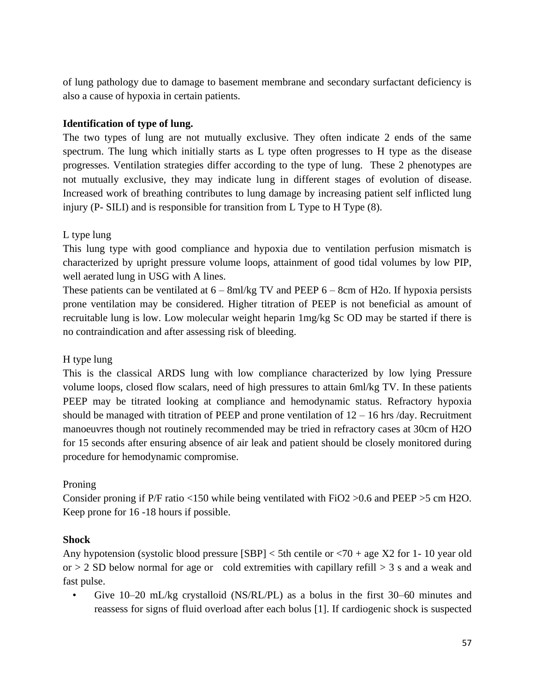of lung pathology due to damage to basement membrane and secondary surfactant deficiency is also a cause of hypoxia in certain patients.

### **Identification of type of lung.**

The two types of lung are not mutually exclusive. They often indicate 2 ends of the same spectrum. The lung which initially starts as L type often progresses to H type as the disease progresses. Ventilation strategies differ according to the type of lung. These 2 phenotypes are not mutually exclusive, they may indicate lung in different stages of evolution of disease. Increased work of breathing contributes to lung damage by increasing patient self inflicted lung injury (P- SILI) and is responsible for transition from L Type to H Type (8).

### L type lung

This lung type with good compliance and hypoxia due to ventilation perfusion mismatch is characterized by upright pressure volume loops, attainment of good tidal volumes by low PIP, well aerated lung in USG with A lines.

These patients can be ventilated at  $6 - 8$ ml/kg TV and PEEP  $6 - 8$ cm of H2o. If hypoxia persists prone ventilation may be considered. Higher titration of PEEP is not beneficial as amount of recruitable lung is low. Low molecular weight heparin 1mg/kg Sc OD may be started if there is no contraindication and after assessing risk of bleeding.

### H type lung

This is the classical ARDS lung with low compliance characterized by low lying Pressure volume loops, closed flow scalars, need of high pressures to attain 6ml/kg TV. In these patients PEEP may be titrated looking at compliance and hemodynamic status. Refractory hypoxia should be managed with titration of PEEP and prone ventilation of  $12 - 16$  hrs /day. Recruitment manoeuvres though not routinely recommended may be tried in refractory cases at 30cm of H2O for 15 seconds after ensuring absence of air leak and patient should be closely monitored during procedure for hemodynamic compromise.

### Proning

Consider proning if P/F ratio <150 while being ventilated with FiO2 >0.6 and PEEP >5 cm H2O. Keep prone for 16 -18 hours if possible.

### **Shock**

Any hypotension (systolic blood pressure  $[SBP] < 5$ th centile or  $< 70 +$  age X2 for 1-10 year old or  $> 2$  SD below normal for age or cold extremities with capillary refill  $> 3$  s and a weak and fast pulse.

• Give 10–20 mL/kg crystalloid (NS/RL/PL) as a bolus in the first 30–60 minutes and reassess for signs of fluid overload after each bolus [1]. If cardiogenic shock is suspected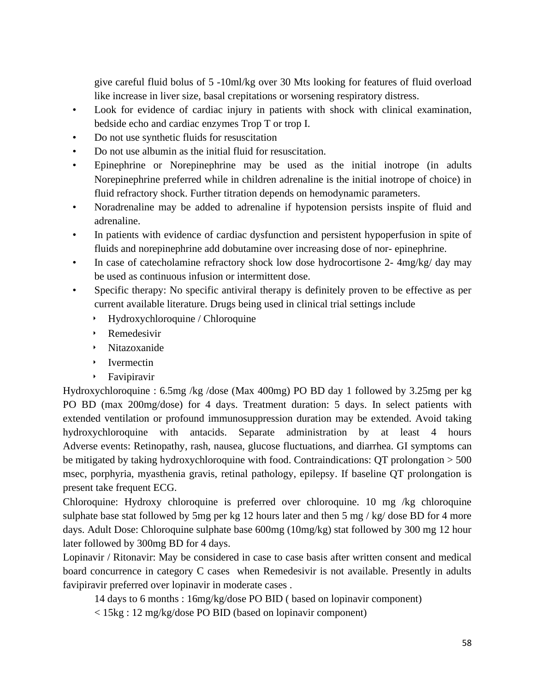give careful fluid bolus of 5 -10ml/kg over 30 Mts looking for features of fluid overload like increase in liver size, basal crepitations or worsening respiratory distress.

- Look for evidence of cardiac injury in patients with shock with clinical examination, bedside echo and cardiac enzymes Trop T or trop I.
- Do not use synthetic fluids for resuscitation
- Do not use albumin as the initial fluid for resuscitation.
- Epinephrine or Norepinephrine may be used as the initial inotrope (in adults Norepinephrine preferred while in children adrenaline is the initial inotrope of choice) in fluid refractory shock. Further titration depends on hemodynamic parameters.
- Noradrenaline may be added to adrenaline if hypotension persists inspite of fluid and adrenaline.
- In patients with evidence of cardiac dysfunction and persistent hypoperfusion in spite of fluids and norepinephrine add dobutamine over increasing dose of nor- epinephrine.
- In case of catecholamine refractory shock low dose hydrocortisone 2-4mg/kg/ day may be used as continuous infusion or intermittent dose.
- Specific therapy: No specific antiviral therapy is definitely proven to be effective as per current available literature. Drugs being used in clinical trial settings include
	- ‣ Hydroxychloroquine / Chloroquine
	- ‣ Remedesivir
	- ‣ Nitazoxanide
	- ‣ Ivermectin
	- ‣ Favipiravir

Hydroxychloroquine : 6.5mg /kg /dose (Max 400mg) PO BD day 1 followed by 3.25mg per kg PO BD (max 200mg/dose) for 4 days. Treatment duration: 5 days. In select patients with extended ventilation or profound immunosuppression duration may be extended. Avoid taking hydroxychloroquine with antacids. Separate administration by at least 4 hours Adverse events: Retinopathy, rash, nausea, glucose fluctuations, and diarrhea. GI symptoms can be mitigated by taking hydroxychloroquine with food. Contraindications: QT prolongation > 500 msec, porphyria, myasthenia gravis, retinal pathology, epilepsy. If baseline QT prolongation is present take frequent ECG.

Chloroquine: Hydroxy chloroquine is preferred over chloroquine. 10 mg /kg chloroquine sulphate base stat followed by 5mg per kg 12 hours later and then 5 mg / kg/ dose BD for 4 more days. Adult Dose: Chloroquine sulphate base 600mg (10mg/kg) stat followed by 300 mg 12 hour later followed by 300mg BD for 4 days.

Lopinavir / Ritonavir: May be considered in case to case basis after written consent and medical board concurrence in category C cases when Remedesivir is not available. Presently in adults favipiravir preferred over lopinavir in moderate cases .

14 days to 6 months : 16mg/kg/dose PO BID ( based on lopinavir component)

< 15kg : 12 mg/kg/dose PO BID (based on lopinavir component)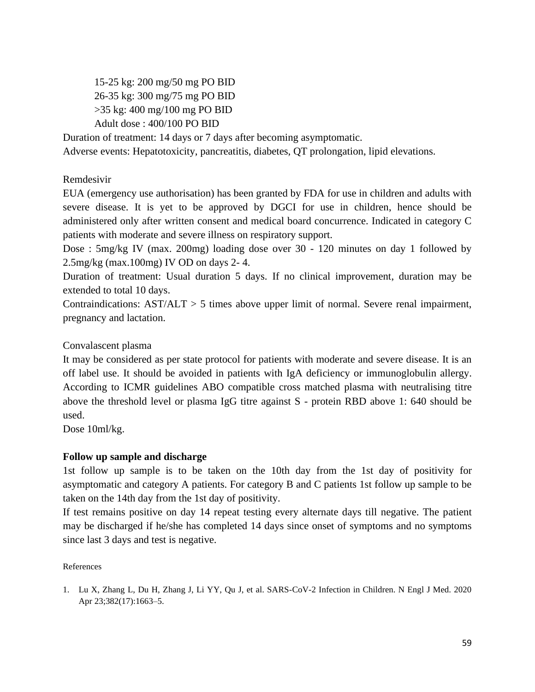15-25 kg: 200 mg/50 mg PO BID 26-35 kg: 300 mg/75 mg PO BID >35 kg: 400 mg/100 mg PO BID Adult dose : 400/100 PO BID

Duration of treatment: 14 days or 7 days after becoming asymptomatic.

Adverse events: Hepatotoxicity, pancreatitis, diabetes, QT prolongation, lipid elevations.

#### Remdesivir

EUA (emergency use authorisation) has been granted by FDA for use in children and adults with severe disease. It is yet to be approved by DGCI for use in children, hence should be administered only after written consent and medical board concurrence. Indicated in category C patients with moderate and severe illness on respiratory support.

Dose : 5mg/kg IV (max. 200mg) loading dose over 30 - 120 minutes on day 1 followed by 2.5mg/kg (max.100mg) IV OD on days 2- 4.

Duration of treatment: Usual duration 5 days. If no clinical improvement, duration may be extended to total 10 days.

Contraindications:  $AST/ALT > 5$  times above upper limit of normal. Severe renal impairment, pregnancy and lactation.

### Convalascent plasma

It may be considered as per state protocol for patients with moderate and severe disease. It is an off label use. It should be avoided in patients with IgA deficiency or immunoglobulin allergy. According to ICMR guidelines ABO compatible cross matched plasma with neutralising titre above the threshold level or plasma IgG titre against S - protein RBD above 1: 640 should be used.

Dose 10ml/kg.

### **Follow up sample and discharge**

1st follow up sample is to be taken on the 10th day from the 1st day of positivity for asymptomatic and category A patients. For category B and C patients 1st follow up sample to be taken on the 14th day from the 1st day of positivity.

If test remains positive on day 14 repeat testing every alternate days till negative. The patient may be discharged if he/she has completed 14 days since onset of symptoms and no symptoms since last 3 days and test is negative.

#### References

1. Lu X, Zhang L, Du H, Zhang J, Li YY, Qu J, et al. SARS-CoV-2 Infection in Children. N Engl J Med. 2020 Apr 23;382(17):1663–5.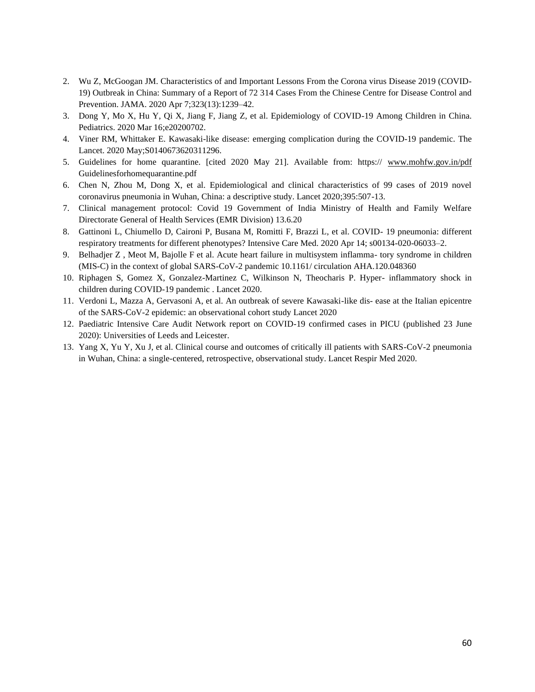- 2. Wu Z, McGoogan JM. Characteristics of and Important Lessons From the Corona virus Disease 2019 (COVID-19) Outbreak in China: Summary of a Report of 72 314 Cases From the Chinese Centre for Disease Control and Prevention. JAMA. 2020 Apr 7;323(13):1239–42.
- 3. Dong Y, Mo X, Hu Y, Qi X, Jiang F, Jiang Z, et al. Epidemiology of COVID-19 Among Children in China. Pediatrics. 2020 Mar 16;e20200702.
- 4. Viner RM, Whittaker E. Kawasaki-like disease: emerging complication during the COVID-19 pandemic. The Lancet. 2020 May;S0140673620311296.
- 5. Guidelines for home quarantine. [cited 2020 May 21]. Available from: https:// [www.mohfw.gov.in/pdf](http://www.mohfw.gov.in/pdf) Guidelinesforhomequarantine.pdf
- 6. Chen N, Zhou M, Dong X, et al. Epidemiological and clinical characteristics of 99 cases of 2019 novel coronavirus pneumonia in Wuhan, China: a descriptive study. Lancet 2020;395:507-13.
- 7. Clinical management protocol: Covid 19 Government of India Ministry of Health and Family Welfare Directorate General of Health Services (EMR Division) 13.6.20
- 8. Gattinoni L, Chiumello D, Caironi P, Busana M, Romitti F, Brazzi L, et al. COVID- 19 pneumonia: different respiratory treatments for different phenotypes? Intensive Care Med. 2020 Apr 14; s00134-020-06033–2.
- 9. Belhadjer Z , Meot M, Bajolle F et al. Acute heart failure in multisystem inflamma- tory syndrome in children (MIS-C) in the context of global SARS-CoV-2 pandemic 10.1161/ circulation AHA.120.048360
- 10. Riphagen S, Gomez X, Gonzalez-Martinez C, Wilkinson N, Theocharis P. Hyper- inflammatory shock in children during COVID-19 pandemic . Lancet 2020.
- 11. Verdoni L, Mazza A, Gervasoni A, et al. An outbreak of severe Kawasaki-like dis- ease at the Italian epicentre of the SARS-CoV-2 epidemic: an observational cohort study Lancet 2020
- 12. Paediatric Intensive Care Audit Network report on COVID-19 confirmed cases in PICU (published 23 June 2020): Universities of Leeds and Leicester.
- 13. Yang X, Yu Y, Xu J, et al. Clinical course and outcomes of critically ill patients with SARS-CoV-2 pneumonia in Wuhan, China: a single-centered, retrospective, observational study. Lancet Respir Med 2020.